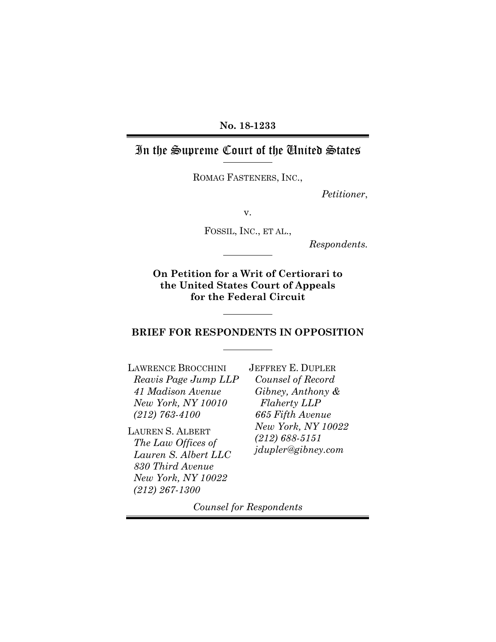### **No. 18-1233**

## In the Supreme Court of the United States

ROMAG FASTENERS, INC.,

*Petitioner*,

v.

FOSSIL, INC., ET AL.,

*Respondents.*

**On Petition for a Writ of Certiorari to the United States Court of Appeals for the Federal Circuit** 

#### **BRIEF FOR RESPONDENTS IN OPPOSITION**

LAWRENCE BROCCHINI *Reavis Page Jump LLP 41 Madison Avenue New York, NY 10010 (212) 763-4100* 

LAUREN S. ALBERT *The Law Offices of Lauren S. Albert LLC 830 Third Avenue New York, NY 10022 (212) 267-1300* 

JEFFREY E. DUPLER *Counsel of Record Gibney, Anthony & Flaherty LLP 665 Fifth Avenue New York, NY 10022 (212) 688-5151 jdupler@gibney.com* 

*Counsel for Respondents*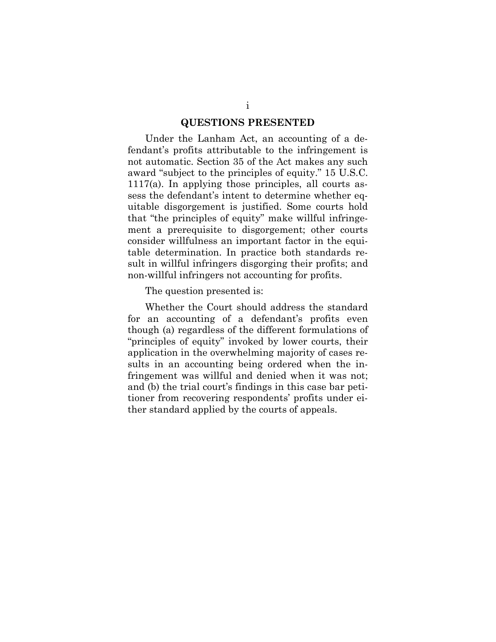#### **QUESTIONS PRESENTED**

Under the Lanham Act, an accounting of a defendant's profits attributable to the infringement is not automatic. Section 35 of the Act makes any such award "subject to the principles of equity." 15 U.S.C. 1117(a). In applying those principles, all courts assess the defendant's intent to determine whether equitable disgorgement is justified. Some courts hold that "the principles of equity" make willful infringement a prerequisite to disgorgement; other courts consider willfulness an important factor in the equitable determination. In practice both standards result in willful infringers disgorging their profits; and non-willful infringers not accounting for profits.

The question presented is:

Whether the Court should address the standard for an accounting of a defendant's profits even though (a) regardless of the different formulations of "principles of equity" invoked by lower courts, their application in the overwhelming majority of cases results in an accounting being ordered when the infringement was willful and denied when it was not; and (b) the trial court's findings in this case bar petitioner from recovering respondents' profits under either standard applied by the courts of appeals.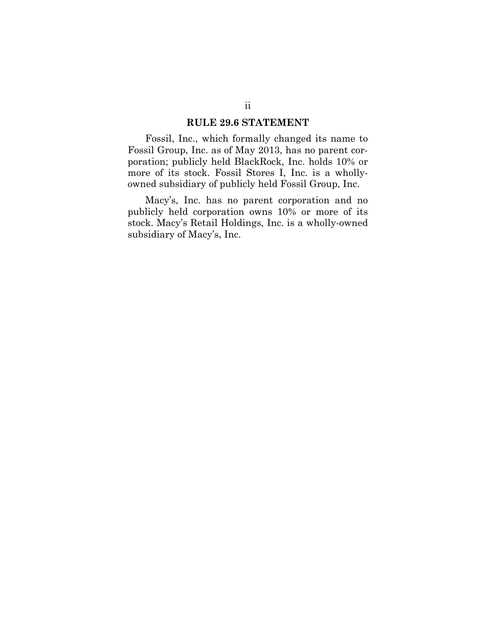#### **RULE 29.6 STATEMENT**

Fossil, Inc., which formally changed its name to Fossil Group, Inc. as of May 2013, has no parent corporation; publicly held BlackRock, Inc. holds 10% or more of its stock. Fossil Stores I, Inc. is a whollyowned subsidiary of publicly held Fossil Group, Inc.

Macy's, Inc. has no parent corporation and no publicly held corporation owns 10% or more of its stock. Macy's Retail Holdings, Inc. is a wholly-owned subsidiary of Macy's, Inc.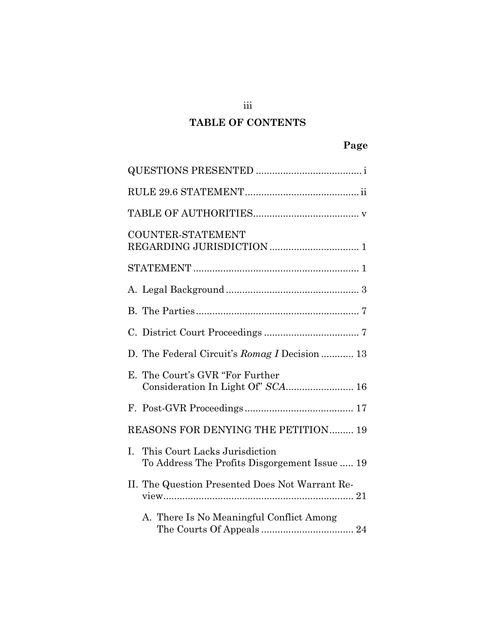# **TABLE OF CONTENTS**

| <b>COUNTER-STATEMENT</b>                                                             |
|--------------------------------------------------------------------------------------|
|                                                                                      |
|                                                                                      |
|                                                                                      |
|                                                                                      |
| D. The Federal Circuit's Romag I Decision  13                                        |
| E. The Court's GVR "For Further"<br>Consideration In Light Of" SCA 16                |
|                                                                                      |
| REASONS FOR DENYING THE PETITION 19                                                  |
| This Court Lacks Jurisdiction<br>I.<br>To Address The Profits Disgorgement Issue  19 |
| II. The Question Presented Does Not Warrant Re-                                      |
| A. There Is No Meaningful Conflict Among                                             |

iii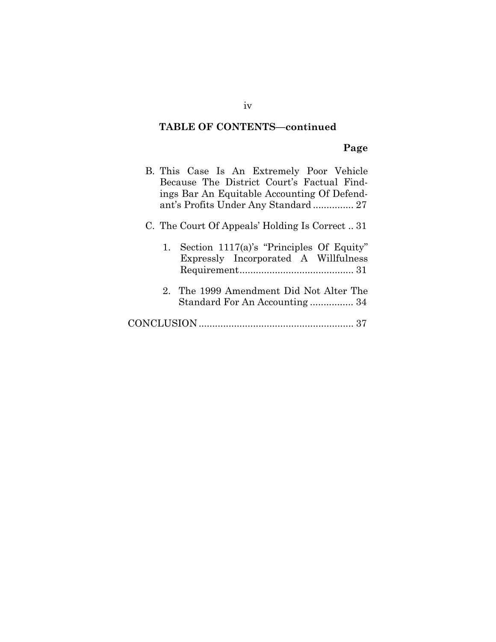## **TABLE OF CONTENTS—continued**

# **Page**

| B. This Case Is An Extremely Poor Vehicle<br>Because The District Court's Factual Find-<br>ings Bar An Equitable Accounting Of Defend-<br>ant's Profits Under Any Standard 27 |
|-------------------------------------------------------------------------------------------------------------------------------------------------------------------------------|
| C. The Court Of Appeals' Holding Is Correct31                                                                                                                                 |
| 1. Section 1117(a)'s "Principles Of Equity"<br>Expressly Incorporated A Willfulness                                                                                           |
| 2. The 1999 Amendment Did Not Alter The<br>Standard For An Accounting 34                                                                                                      |
|                                                                                                                                                                               |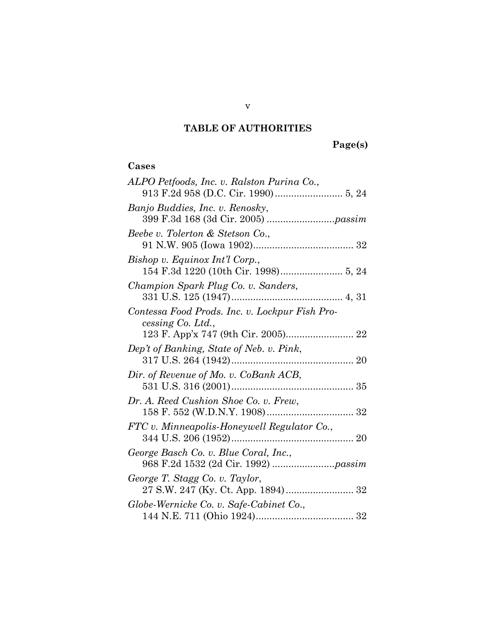## **TABLE OF AUTHORITIES**

### **Cases**

| ALPO Petfoods, Inc. v. Ralston Purina Co.,                          |
|---------------------------------------------------------------------|
|                                                                     |
| Banjo Buddies, Inc. v. Renosky,                                     |
| Beebe v. Tolerton & Stetson Co.,                                    |
| Bishop v. Equinox Int'l Corp.,                                      |
| Champion Spark Plug Co. v. Sanders,                                 |
| Contessa Food Prods. Inc. v. Lockpur Fish Pro-<br>cessing Co. Ltd., |
|                                                                     |
| Dep't of Banking, State of Neb. v. Pink,                            |
| Dir. of Revenue of Mo. v. CoBank ACB,                               |
| Dr. A. Reed Cushion Shoe Co. v. Frew,                               |
| FTC v. Minneapolis-Honeywell Regulator Co.,                         |
| George Basch Co. v. Blue Coral, Inc.,                               |
| George T. Stagg Co. v. Taylor,                                      |
| Globe-Wernicke Co. v. Safe-Cabinet Co.,                             |
|                                                                     |

v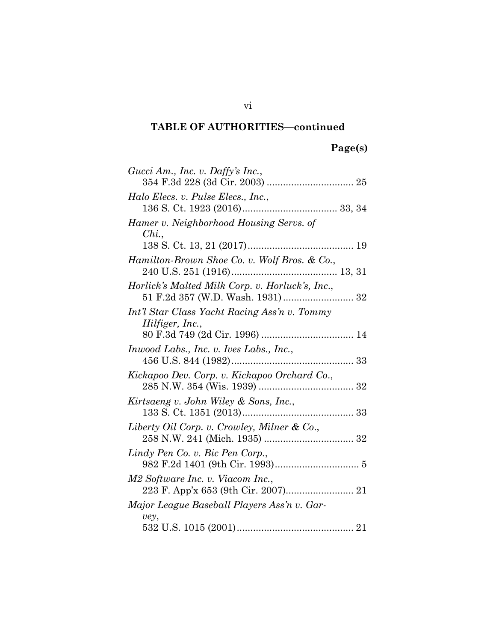# **Page(s)**

| Gucci Am., Inc. v. Daffy's Inc.,                                |
|-----------------------------------------------------------------|
| Halo Elecs. v. Pulse Elecs., Inc.,                              |
| Hamer v. Neighborhood Housing Servs. of<br>$Chi$ ,              |
|                                                                 |
| Hamilton-Brown Shoe Co. v. Wolf Bros. & Co.,                    |
| Horlick's Malted Milk Corp. v. Horluck's, Inc.,                 |
| Int'l Star Class Yacht Racing Ass'n v. Tommy<br>Hilfiger, Inc., |
|                                                                 |
| <i>Inwood Labs., Inc. v. Ives Labs., Inc.,</i>                  |
| Kickapoo Dev. Corp. v. Kickapoo Orchard Co.,                    |
| Kirtsaeng v. John Wiley & Sons, Inc.,                           |
| Liberty Oil Corp. v. Crowley, Milner & Co.,                     |
| Lindy Pen Co. v. Bic Pen Corp.,                                 |
| M2 Software Inc. v. Viacom Inc.,                                |
| Major League Baseball Players Ass'n v. Gar-<br>vey,             |
|                                                                 |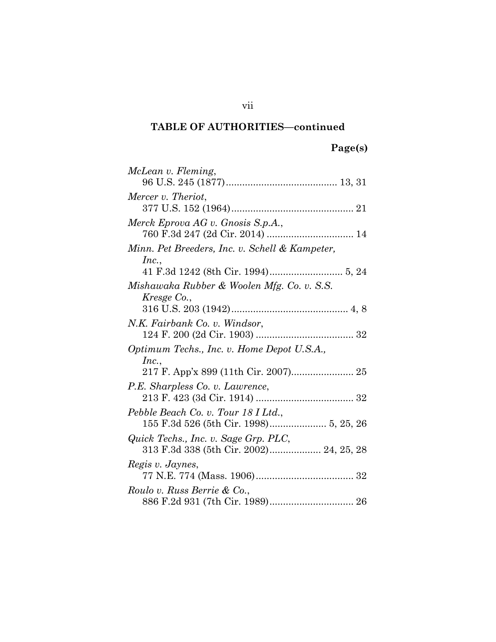# **Page(s)**

| McLean v. Fleming,                             |
|------------------------------------------------|
|                                                |
| Mercer v. Theriot,                             |
|                                                |
| Merck Eprova AG v. Gnosis S.p.A.,              |
|                                                |
| Minn. Pet Breeders, Inc. v. Schell & Kampeter, |
| Inc.,                                          |
|                                                |
| Mishawaka Rubber & Woolen Mfg. Co. v. S.S.     |
| Kresge Co.,                                    |
|                                                |
| N.K. Fairbank Co. v. Windsor,                  |
|                                                |
|                                                |
| Optimum Techs., Inc. v. Home Depot U.S.A.,     |
| Inc.,                                          |
|                                                |
| P.E. Sharpless Co. v. Lawrence,                |
|                                                |
| Pebble Beach Co. v. Tour 18 I Ltd.,            |
|                                                |
| Quick Techs., Inc. v. Sage Grp. PLC,           |
| 313 F.3d 338 (5th Cir. 2002) 24, 25, 28        |
| Regis v. Jaynes,                               |
|                                                |
| Roulo v. Russ Berrie & Co.,                    |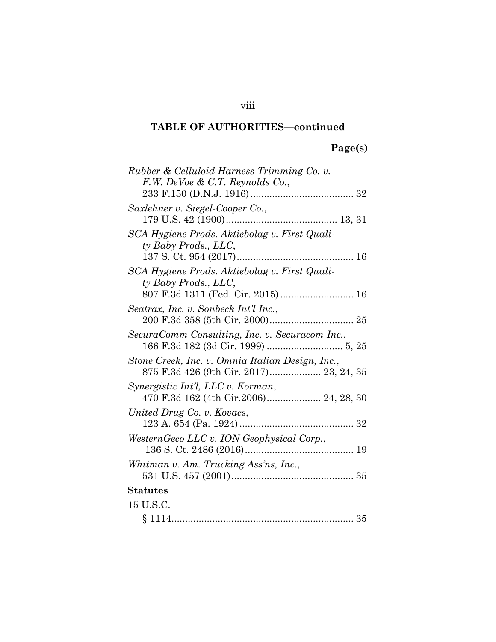# **Page(s)**

viii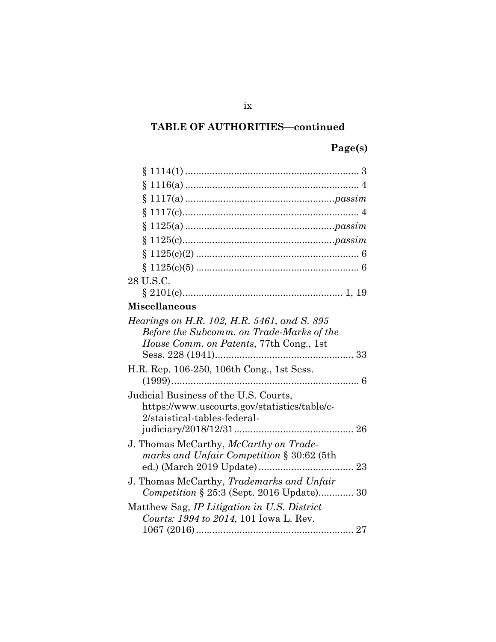# **Page(s)**

| 28 U.S.C.                                                                                                                           |
|-------------------------------------------------------------------------------------------------------------------------------------|
|                                                                                                                                     |
| <b>Miscellaneous</b>                                                                                                                |
| Hearings on H.R. 102, H.R. 5461, and S. 895<br>Before the Subcomm. on Trade-Marks of the<br>House Comm. on Patents, 77th Cong., 1st |
| H.R. Rep. 106-250, 106th Cong., 1st Sess.                                                                                           |
| Judicial Business of the U.S. Courts,<br>https://www.uscourts.gov/statistics/table/c-<br>2/staistical-tables-federal-               |
| J. Thomas McCarthy, McCarthy on Trade-<br>marks and Unfair Competition § 30:62 (5th                                                 |
| J. Thomas McCarthy, Trademarks and Unfair<br>Competition § 25:3 (Sept. 2016 Update) 30                                              |
| Matthew Sag, IP Litigation in U.S. District<br>Courts: 1994 to 2014, 101 Iowa L. Rev.                                               |

ix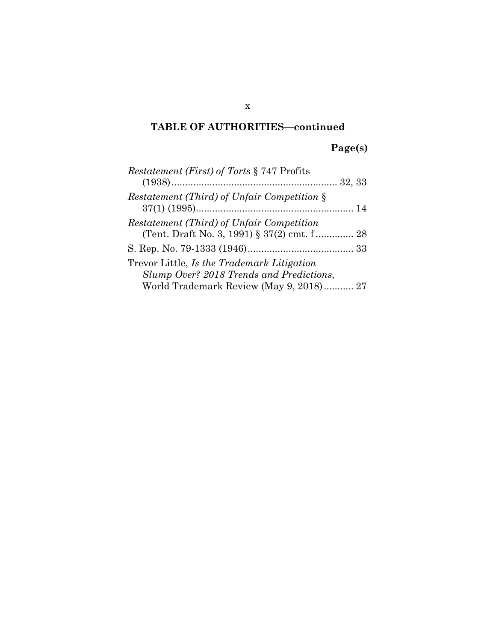# **Page(s)**

| <i>Restatement (First) of Torts</i> § 747 Profits  |  |
|----------------------------------------------------|--|
|                                                    |  |
| <i>Restatement (Third) of Unfair Competition §</i> |  |
| Restatement (Third) of Unfair Competition          |  |
| (Tent. Draft No. 3, 1991) § 37(2) cmt. f 28        |  |
|                                                    |  |
| Trevor Little, Is the Trademark Litigation         |  |
| Slump Over? 2018 Trends and Predictions,           |  |
| World Trademark Review (May 9, 2018) 27            |  |
|                                                    |  |

x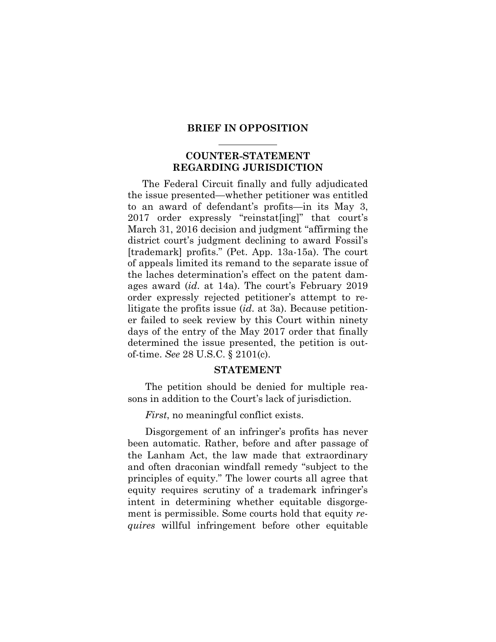#### **BRIEF IN OPPOSITION**

### **COUNTER-STATEMENT REGARDING JURISDICTION**

The Federal Circuit finally and fully adjudicated the issue presented—whether petitioner was entitled to an award of defendant's profits—in its May 3, 2017 order expressly "reinstat[ing]" that court's March 31, 2016 decision and judgment "affirming the district court's judgment declining to award Fossil's [trademark] profits." (Pet. App. 13a-15a). The court of appeals limited its remand to the separate issue of the laches determination's effect on the patent damages award (*id*. at 14a). The court's February 2019 order expressly rejected petitioner's attempt to relitigate the profits issue (*id*. at 3a). Because petitioner failed to seek review by this Court within ninety days of the entry of the May 2017 order that finally determined the issue presented, the petition is outof-time. *See* 28 U.S.C. § 2101(c).

#### **STATEMENT**

The petition should be denied for multiple reasons in addition to the Court's lack of jurisdiction.

*First*, no meaningful conflict exists.

Disgorgement of an infringer's profits has never been automatic. Rather, before and after passage of the Lanham Act, the law made that extraordinary and often draconian windfall remedy "subject to the principles of equity." The lower courts all agree that equity requires scrutiny of a trademark infringer's intent in determining whether equitable disgorgement is permissible. Some courts hold that equity *requires* willful infringement before other equitable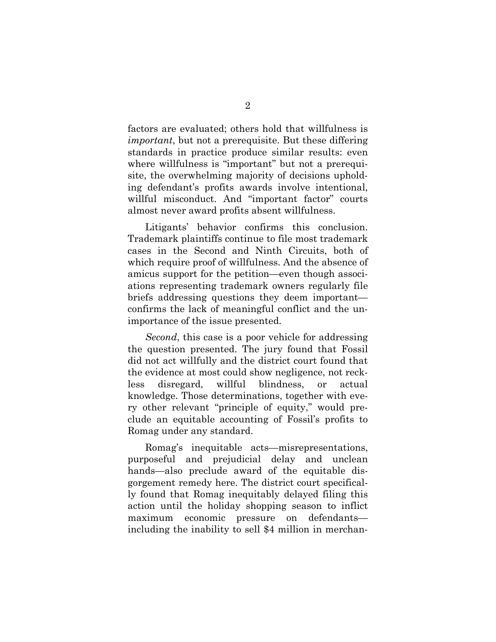factors are evaluated; others hold that willfulness is *important*, but not a prerequisite. But these differing standards in practice produce similar results: even where willfulness is "important" but not a prerequisite, the overwhelming majority of decisions upholding defendant's profits awards involve intentional, willful misconduct. And "important factor" courts almost never award profits absent willfulness.

Litigants' behavior confirms this conclusion. Trademark plaintiffs continue to file most trademark cases in the Second and Ninth Circuits, both of which require proof of willfulness. And the absence of amicus support for the petition—even though associations representing trademark owners regularly file briefs addressing questions they deem important confirms the lack of meaningful conflict and the unimportance of the issue presented.

*Second*, this case is a poor vehicle for addressing the question presented. The jury found that Fossil did not act willfully and the district court found that the evidence at most could show negligence, not reckless disregard, willful blindness, or actual knowledge. Those determinations, together with every other relevant "principle of equity," would preclude an equitable accounting of Fossil's profits to Romag under any standard.

Romag's inequitable acts—misrepresentations, purposeful and prejudicial delay and unclean hands—also preclude award of the equitable disgorgement remedy here. The district court specifically found that Romag inequitably delayed filing this action until the holiday shopping season to inflict maximum economic pressure on defendants including the inability to sell \$4 million in merchan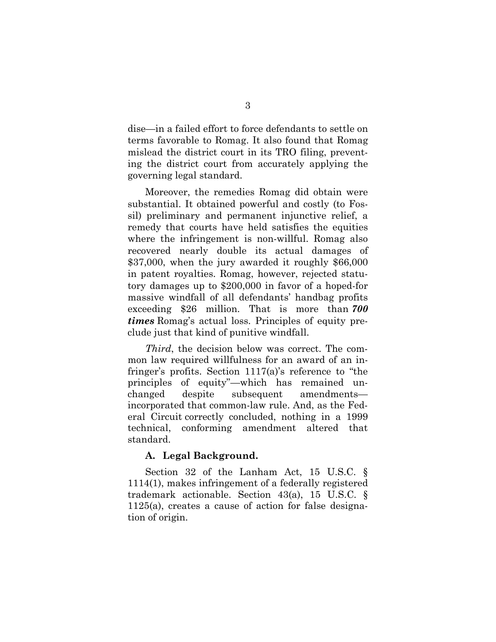dise—in a failed effort to force defendants to settle on terms favorable to Romag. It also found that Romag mislead the district court in its TRO filing, preventing the district court from accurately applying the governing legal standard.

Moreover, the remedies Romag did obtain were substantial. It obtained powerful and costly (to Fossil) preliminary and permanent injunctive relief, a remedy that courts have held satisfies the equities where the infringement is non-willful. Romag also recovered nearly double its actual damages of \$37,000, when the jury awarded it roughly \$66,000 in patent royalties. Romag, however, rejected statutory damages up to \$200,000 in favor of a hoped-for massive windfall of all defendants' handbag profits exceeding \$26 million. That is more than *700 times* Romag's actual loss. Principles of equity preclude just that kind of punitive windfall.

*Third*, the decision below was correct. The common law required willfulness for an award of an infringer's profits. Section 1117(a)'s reference to "the principles of equity"—which has remained unchanged despite subsequent amendments incorporated that common-law rule. And, as the Federal Circuit correctly concluded, nothing in a 1999 technical, conforming amendment altered that standard.

### **A. Legal Background.**

Section 32 of the Lanham Act, 15 U.S.C. § 1114(1), makes infringement of a federally registered trademark actionable. Section 43(a), 15 U.S.C. § 1125(a), creates a cause of action for false designation of origin.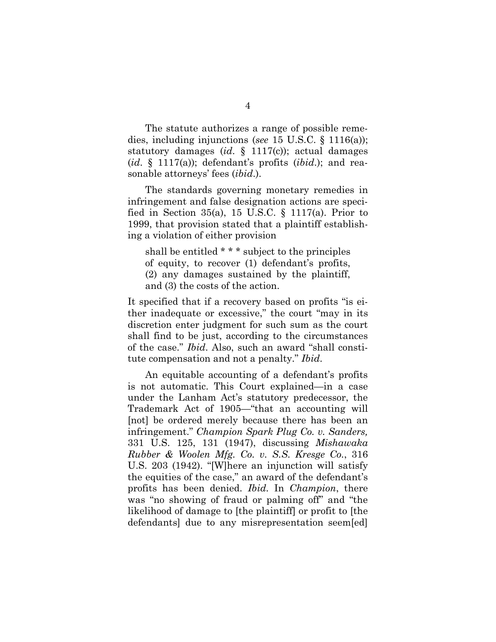The statute authorizes a range of possible remedies, including injunctions (*see* 15 U.S.C. § 1116(a)); statutory damages (*id*. § 1117(c)); actual damages (*id*. § 1117(a)); defendant's profits (*ibid*.); and reasonable attorneys' fees (*ibid*.).

The standards governing monetary remedies in infringement and false designation actions are specified in Section 35(a), 15 U.S.C.  $\S$  1117(a). Prior to 1999, that provision stated that a plaintiff establishing a violation of either provision

shall be entitled \* \* \* subject to the principles of equity, to recover (1) defendant's profits, (2) any damages sustained by the plaintiff, and (3) the costs of the action.

It specified that if a recovery based on profits "is either inadequate or excessive," the court "may in its discretion enter judgment for such sum as the court shall find to be just, according to the circumstances of the case." *Ibid*. Also, such an award "shall constitute compensation and not a penalty." *Ibid*.

An equitable accounting of a defendant's profits is not automatic. This Court explained—in a case under the Lanham Act's statutory predecessor, the Trademark Act of 1905—"that an accounting will [not] be ordered merely because there has been an infringement." *Champion Spark Plug Co. v. Sanders,*  331 U.S. 125, 131 (1947), discussing *Mishawaka Rubber & Woolen Mfg. Co. v. S.S. Kresge Co.*, 316 U.S. 203 (1942). "[W]here an injunction will satisfy the equities of the case," an award of the defendant's profits has been denied. *Ibid.* In *Champion*, there was "no showing of fraud or palming off" and "the likelihood of damage to [the plaintiff] or profit to [the defendants] due to any misrepresentation seem[ed]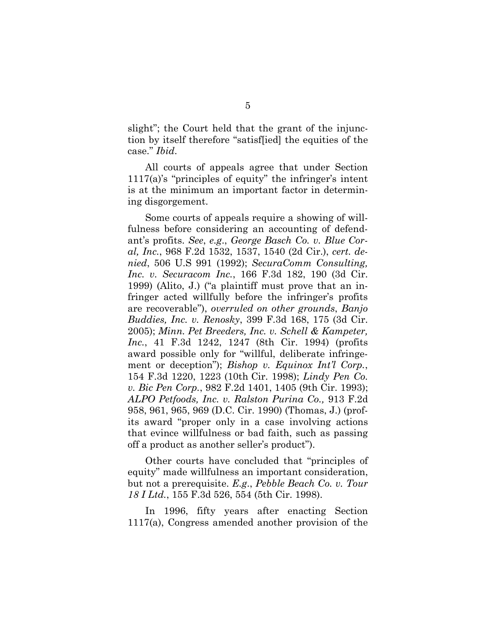slight"; the Court held that the grant of the injunction by itself therefore "satisf[ied] the equities of the case." *Ibid*.

All courts of appeals agree that under Section 1117(a)'s "principles of equity" the infringer's intent is at the minimum an important factor in determining disgorgement.

Some courts of appeals require a showing of willfulness before considering an accounting of defendant's profits. *See*, *e.g*., *George Basch Co. v. Blue Coral, Inc.*, 968 F.2d 1532, 1537, 1540 (2d Cir.), *cert. denied*, 506 U.S 991 (1992); *SecuraComm Consulting, Inc. v. Securacom Inc.*, 166 F.3d 182, 190 (3d Cir. 1999) (Alito, J.) ("a plaintiff must prove that an infringer acted willfully before the infringer's profits are recoverable"), *overruled on other grounds*, *Banjo Buddies, Inc. v. Renosky*, 399 F.3d 168, 175 (3d Cir. 2005); *Minn. Pet Breeders, Inc. v. Schell & Kampeter, Inc.*, 41 F.3d 1242, 1247 (8th Cir. 1994) (profits award possible only for "willful, deliberate infringement or deception"); *Bishop v. Equinox Int'l Corp.*, 154 F.3d 1220, 1223 (10th Cir. 1998); *Lindy Pen Co. v. Bic Pen Corp.*, 982 F.2d 1401, 1405 (9th Cir. 1993); *ALPO Petfoods, Inc. v. Ralston Purina Co.,* 913 F.2d 958, 961, 965, 969 (D.C. Cir. 1990) (Thomas, J.) (profits award "proper only in a case involving actions that evince willfulness or bad faith, such as passing off a product as another seller's product").

Other courts have concluded that "principles of equity" made willfulness an important consideration, but not a prerequisite. *E.g*., *Pebble Beach Co. v. Tour 18 I Ltd.*, 155 F.3d 526, 554 (5th Cir. 1998).

In 1996, fifty years after enacting Section 1117(a), Congress amended another provision of the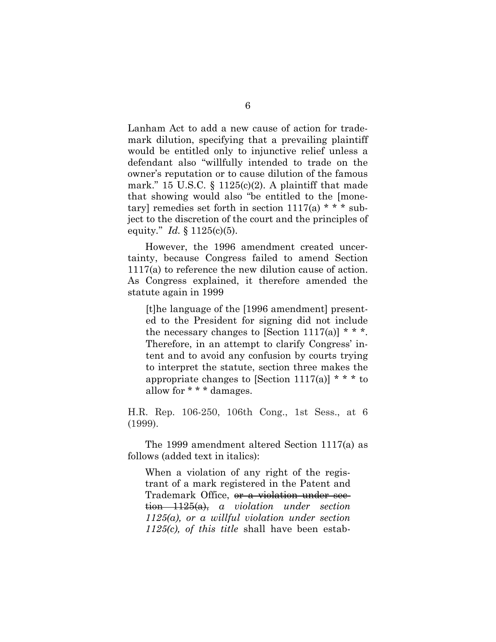Lanham Act to add a new cause of action for trademark dilution, specifying that a prevailing plaintiff would be entitled only to injunctive relief unless a defendant also "willfully intended to trade on the owner's reputation or to cause dilution of the famous mark." 15 U.S.C.  $\S$  1125(c)(2). A plaintiff that made that showing would also "be entitled to the [monetary] remedies set forth in section  $1117(a)$  \* \* \* subject to the discretion of the court and the principles of equity*.*" *Id.* § 1125(c)(5).

However, the 1996 amendment created uncertainty, because Congress failed to amend Section 1117(a) to reference the new dilution cause of action. As Congress explained, it therefore amended the statute again in 1999

[t]he language of the [1996 amendment] presented to the President for signing did not include the necessary changes to [Section 1117(a)]  $* * *$ . Therefore, in an attempt to clarify Congress' intent and to avoid any confusion by courts trying to interpret the statute, section three makes the appropriate changes to [Section 1117(a)]  $* * *$  to allow for \* \* \* damages.

H.R. Rep. 106-250, 106th Cong., 1st Sess., at 6 (1999).

The 1999 amendment altered Section 1117(a) as follows (added text in italics):

When a violation of any right of the registrant of a mark registered in the Patent and Trademark Office, or a violation under section 1125(a), *a violation under section 1125(a), or a willful violation under section 1125(c), of this title* shall have been estab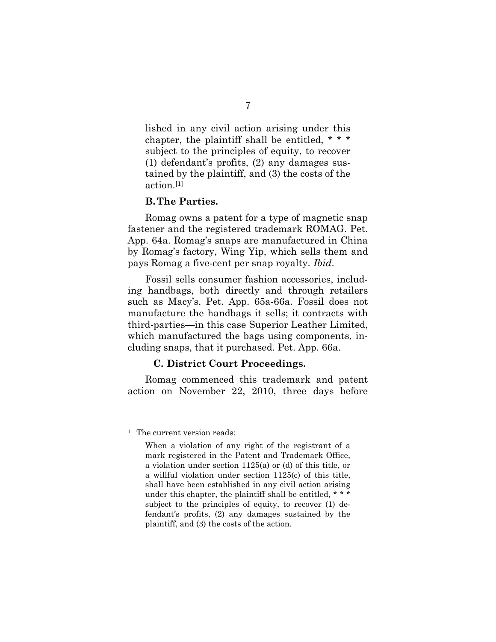lished in any civil action arising under this chapter, the plaintiff shall be entitled, \* \* \* subject to the principles of equity, to recover (1) defendant's profits, (2) any damages sustained by the plaintiff, and (3) the costs of the action.[1]

#### **B. The Parties.**

Romag owns a patent for a type of magnetic snap fastener and the registered trademark ROMAG. Pet. App. 64a. Romag's snaps are manufactured in China by Romag's factory, Wing Yip, which sells them and pays Romag a five-cent per snap royalty. *Ibid*.

Fossil sells consumer fashion accessories, including handbags, both directly and through retailers such as Macy's. Pet. App. 65a-66a. Fossil does not manufacture the handbags it sells; it contracts with third-parties—in this case Superior Leather Limited, which manufactured the bags using components, including snaps, that it purchased. Pet. App. 66a.

#### **C. District Court Proceedings.**

Romag commenced this trademark and patent action on November 22, 2010, three days before

<sup>1</sup> The current version reads:

When a violation of any right of the registrant of a mark registered in the Patent and Trademark Office, a violation under section 1125(a) or (d) of this title, or a willful violation under section 1125(c) of this title, shall have been established in any civil action arising under this chapter, the plaintiff shall be entitled, \* \* \* subject to the principles of equity, to recover (1) defendant's profits, (2) any damages sustained by the plaintiff, and (3) the costs of the action.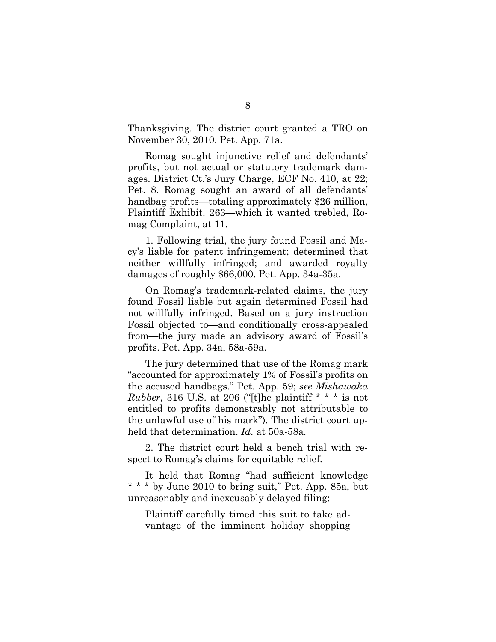Thanksgiving. The district court granted a TRO on November 30, 2010. Pet. App. 71a.

Romag sought injunctive relief and defendants' profits, but not actual or statutory trademark damages. District Ct.'s Jury Charge, ECF No. 410, at 22; Pet. 8. Romag sought an award of all defendants' handbag profits—totaling approximately \$26 million, Plaintiff Exhibit. 263—which it wanted trebled, Romag Complaint, at 11.

1. Following trial, the jury found Fossil and Macy's liable for patent infringement; determined that neither willfully infringed; and awarded royalty damages of roughly \$66,000. Pet. App. 34a-35a.

On Romag's trademark-related claims, the jury found Fossil liable but again determined Fossil had not willfully infringed. Based on a jury instruction Fossil objected to—and conditionally cross-appealed from—the jury made an advisory award of Fossil's profits. Pet. App. 34a, 58a-59a.

The jury determined that use of the Romag mark "accounted for approximately 1% of Fossil's profits on the accused handbags." Pet. App. 59; *see Mishawaka Rubber*, 316 U.S. at 206 ("[t]he plaintiff \* \* \* is not entitled to profits demonstrably not attributable to the unlawful use of his mark"). The district court upheld that determination. *Id.* at 50a-58a*.*

2. The district court held a bench trial with respect to Romag's claims for equitable relief.

It held that Romag "had sufficient knowledge \* \* \* by June 2010 to bring suit," Pet. App. 85a, but unreasonably and inexcusably delayed filing:

Plaintiff carefully timed this suit to take advantage of the imminent holiday shopping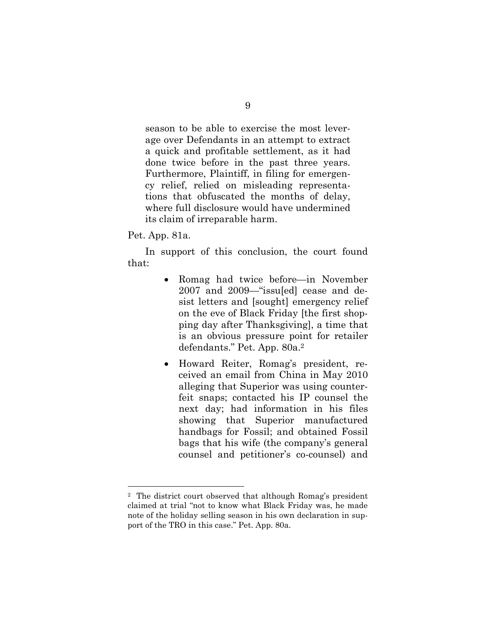season to be able to exercise the most leverage over Defendants in an attempt to extract a quick and profitable settlement, as it had done twice before in the past three years. Furthermore, Plaintiff, in filing for emergency relief, relied on misleading representations that obfuscated the months of delay, where full disclosure would have undermined its claim of irreparable harm.

Pet. App. 81a.

In support of this conclusion, the court found that:

- Romag had twice before—in November 2007 and 2009—"issu[ed] cease and desist letters and [sought] emergency relief on the eve of Black Friday [the first shopping day after Thanksgiving], a time that is an obvious pressure point for retailer defendants." Pet. App. 80a.<sup>2</sup>
- Howard Reiter, Romag's president, received an email from China in May 2010 alleging that Superior was using counterfeit snaps; contacted his IP counsel the next day; had information in his files showing that Superior manufactured handbags for Fossil; and obtained Fossil bags that his wife (the company's general counsel and petitioner's co-counsel) and

<sup>2</sup> The district court observed that although Romag's president claimed at trial "not to know what Black Friday was, he made note of the holiday selling season in his own declaration in support of the TRO in this case." Pet. App. 80a.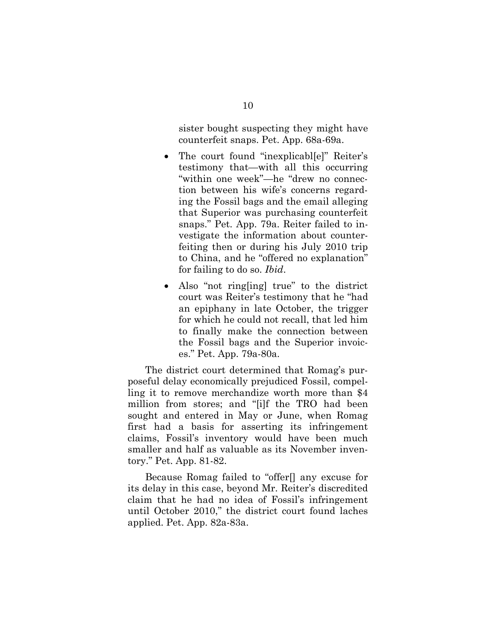sister bought suspecting they might have counterfeit snaps. Pet. App. 68a-69a.

- The court found "inexplicabl[e]" Reiter's testimony that—with all this occurring "within one week"—he "drew no connection between his wife's concerns regarding the Fossil bags and the email alleging that Superior was purchasing counterfeit snaps." Pet. App. 79a. Reiter failed to investigate the information about counterfeiting then or during his July 2010 trip to China, and he "offered no explanation" for failing to do so. *Ibid*.
- Also "not ring[ing] true" to the district court was Reiter's testimony that he "had an epiphany in late October, the trigger for which he could not recall, that led him to finally make the connection between the Fossil bags and the Superior invoices." Pet. App. 79a-80a.

The district court determined that Romag's purposeful delay economically prejudiced Fossil, compelling it to remove merchandize worth more than \$4 million from stores; and "[i]f the TRO had been sought and entered in May or June, when Romag first had a basis for asserting its infringement claims, Fossil's inventory would have been much smaller and half as valuable as its November inventory." Pet. App. 81-82.

Because Romag failed to "offer[] any excuse for its delay in this case, beyond Mr. Reiter's discredited claim that he had no idea of Fossil's infringement until October 2010," the district court found laches applied. Pet. App. 82a-83a.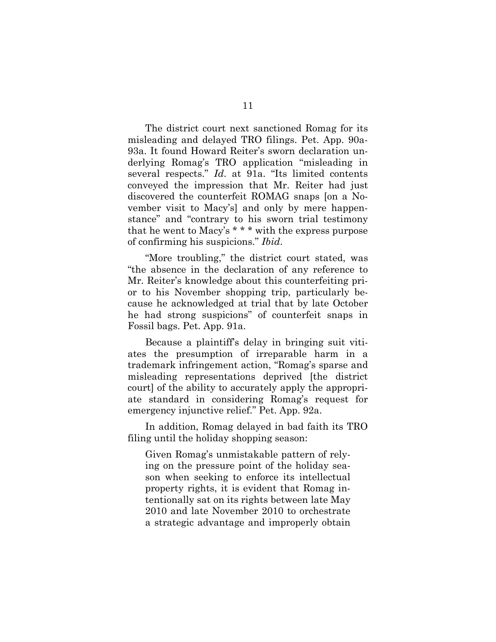The district court next sanctioned Romag for its misleading and delayed TRO filings. Pet. App. 90a-93a. It found Howard Reiter's sworn declaration underlying Romag's TRO application "misleading in several respects." *Id*. at 91a. "Its limited contents conveyed the impression that Mr. Reiter had just discovered the counterfeit ROMAG snaps [on a November visit to Macy's] and only by mere happenstance" and "contrary to his sworn trial testimony that he went to Macy's \* \* \* with the express purpose of confirming his suspicions." *Ibid*.

"More troubling," the district court stated, was "the absence in the declaration of any reference to Mr. Reiter's knowledge about this counterfeiting prior to his November shopping trip, particularly because he acknowledged at trial that by late October he had strong suspicions" of counterfeit snaps in Fossil bags. Pet. App. 91a.

Because a plaintiff's delay in bringing suit vitiates the presumption of irreparable harm in a trademark infringement action, "Romag's sparse and misleading representations deprived [the district court] of the ability to accurately apply the appropriate standard in considering Romag's request for emergency injunctive relief." Pet. App. 92a.

In addition, Romag delayed in bad faith its TRO filing until the holiday shopping season:

Given Romag's unmistakable pattern of relying on the pressure point of the holiday season when seeking to enforce its intellectual property rights, it is evident that Romag intentionally sat on its rights between late May 2010 and late November 2010 to orchestrate a strategic advantage and improperly obtain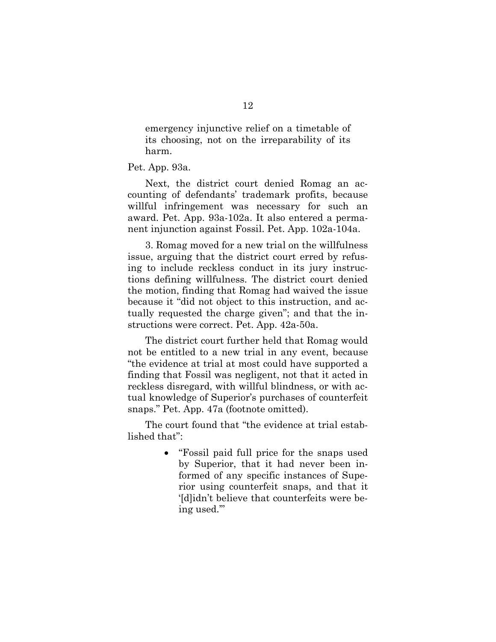emergency injunctive relief on a timetable of its choosing, not on the irreparability of its harm.

Pet. App. 93a.

Next, the district court denied Romag an accounting of defendants' trademark profits, because willful infringement was necessary for such an award. Pet. App. 93a-102a. It also entered a permanent injunction against Fossil. Pet. App. 102a-104a.

3. Romag moved for a new trial on the willfulness issue, arguing that the district court erred by refusing to include reckless conduct in its jury instructions defining willfulness. The district court denied the motion, finding that Romag had waived the issue because it "did not object to this instruction, and actually requested the charge given"; and that the instructions were correct. Pet. App. 42a-50a.

The district court further held that Romag would not be entitled to a new trial in any event, because "the evidence at trial at most could have supported a finding that Fossil was negligent, not that it acted in reckless disregard, with willful blindness, or with actual knowledge of Superior's purchases of counterfeit snaps." Pet. App. 47a (footnote omitted).

The court found that "the evidence at trial established that":

> "Fossil paid full price for the snaps used by Superior, that it had never been informed of any specific instances of Superior using counterfeit snaps, and that it '[d]idn't believe that counterfeits were being used.'"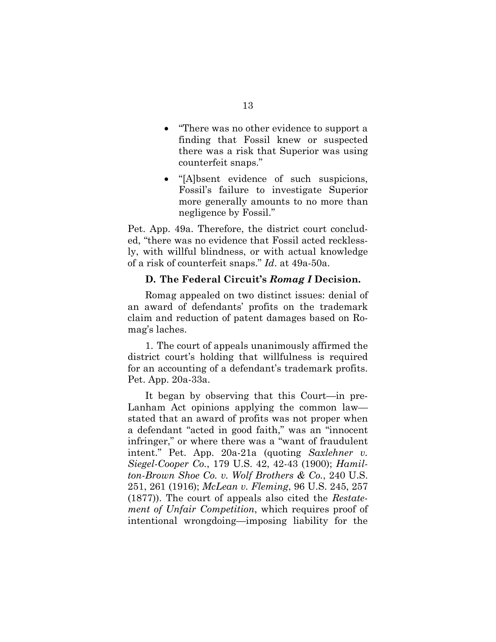- "There was no other evidence to support a finding that Fossil knew or suspected there was a risk that Superior was using counterfeit snaps."
- "[A]bsent evidence of such suspicions, Fossil's failure to investigate Superior more generally amounts to no more than negligence by Fossil."

Pet. App. 49a. Therefore, the district court concluded, "there was no evidence that Fossil acted recklessly, with willful blindness, or with actual knowledge of a risk of counterfeit snaps." *Id*. at 49a-50a.

#### **D. The Federal Circuit's** *Romag I* **Decision.**

Romag appealed on two distinct issues: denial of an award of defendants' profits on the trademark claim and reduction of patent damages based on Romag's laches.

1. The court of appeals unanimously affirmed the district court's holding that willfulness is required for an accounting of a defendant's trademark profits. Pet. App. 20a-33a.

It began by observing that this Court—in pre-Lanham Act opinions applying the common law stated that an award of profits was not proper when a defendant "acted in good faith," was an "innocent infringer," or where there was a "want of fraudulent intent." Pet. App. 20a-21a (quoting *Saxlehner v. Siegel-Cooper Co.*, 179 U.S. 42, 42-43 (1900); *Hamilton-Brown Shoe Co. v. Wolf Brothers & Co.*, 240 U.S. 251, 261 (1916); *McLean v. Fleming*, 96 U.S. 245, 257 (1877)). The court of appeals also cited the *Restatement of Unfair Competition*, which requires proof of intentional wrongdoing—imposing liability for the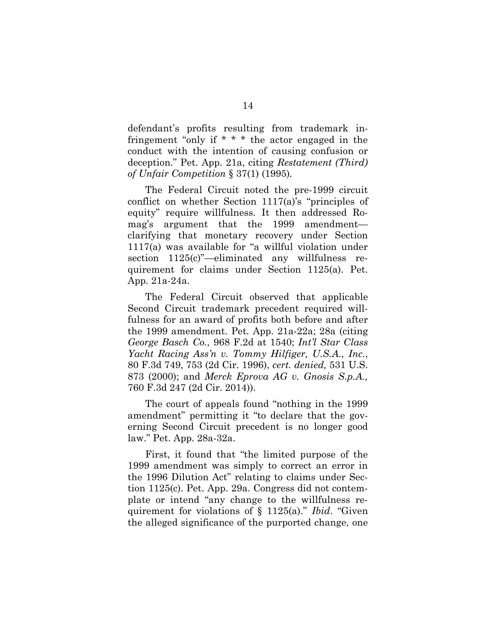defendant's profits resulting from trademark infringement "only if \* \* \* the actor engaged in the conduct with the intention of causing confusion or deception." Pet. App. 21a, citing *Restatement (Third) of Unfair Competition* § 37(1) (1995)*.* 

The Federal Circuit noted the pre-1999 circuit conflict on whether Section 1117(a)'s "principles of equity" require willfulness. It then addressed Romag's argument that the 1999 amendment clarifying that monetary recovery under Section 1117(a) was available for "a willful violation under section  $1125(c)$ "—eliminated any willfulness requirement for claims under Section 1125(a). Pet. App. 21a-24a.

The Federal Circuit observed that applicable Second Circuit trademark precedent required willfulness for an award of profits both before and after the 1999 amendment. Pet. App. 21a-22a; 28a (citing *George Basch Co.,* 968 F.2d at 1540; *Int'l Star Class Yacht Racing Ass'n v. Tommy Hilfiger, U.S.A., Inc.*, 80 F.3d 749, 753 (2d Cir. 1996), *cert. denied,* 531 U.S. 873 (2000); and *Merck Eprova AG v. Gnosis S.p.A.,* 760 F.3d 247 (2d Cir. 2014)).

The court of appeals found "nothing in the 1999 amendment" permitting it "to declare that the governing Second Circuit precedent is no longer good law." Pet. App. 28a-32a.

First, it found that "the limited purpose of the 1999 amendment was simply to correct an error in the 1996 Dilution Act" relating to claims under Section 1125(c). Pet. App. 29a. Congress did not contemplate or intend "any change to the willfulness requirement for violations of § 1125(a)." *Ibid*. "Given the alleged significance of the purported change, one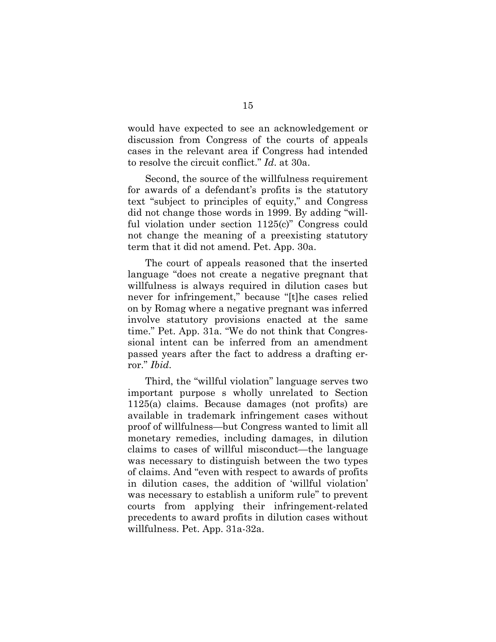would have expected to see an acknowledgement or discussion from Congress of the courts of appeals cases in the relevant area if Congress had intended to resolve the circuit conflict." *Id*. at 30a.

Second, the source of the willfulness requirement for awards of a defendant's profits is the statutory text "subject to principles of equity," and Congress did not change those words in 1999. By adding "willful violation under section 1125(c)" Congress could not change the meaning of a preexisting statutory term that it did not amend. Pet. App. 30a.

The court of appeals reasoned that the inserted language "does not create a negative pregnant that willfulness is always required in dilution cases but never for infringement," because "[t]he cases relied on by Romag where a negative pregnant was inferred involve statutory provisions enacted at the same time." Pet. App. 31a. "We do not think that Congressional intent can be inferred from an amendment passed years after the fact to address a drafting error." *Ibid*.

Third, the "willful violation" language serves two important purpose s wholly unrelated to Section 1125(a) claims. Because damages (not profits) are available in trademark infringement cases without proof of willfulness—but Congress wanted to limit all monetary remedies, including damages, in dilution claims to cases of willful misconduct—the language was necessary to distinguish between the two types of claims. And "even with respect to awards of profits in dilution cases, the addition of 'willful violation' was necessary to establish a uniform rule" to prevent courts from applying their infringement-related precedents to award profits in dilution cases without willfulness. Pet. App. 31a-32a.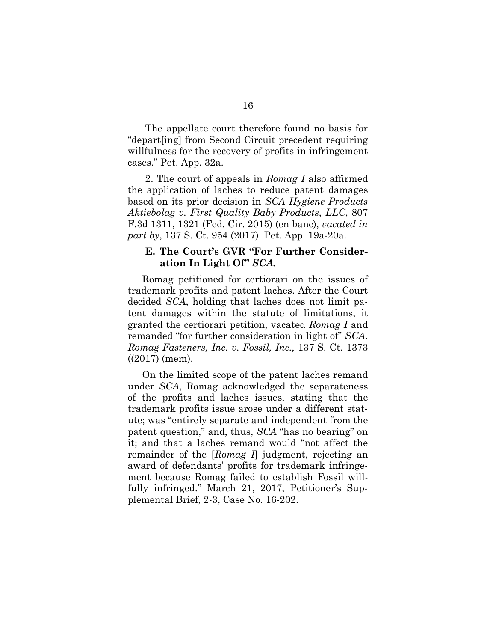The appellate court therefore found no basis for "depart[ing] from Second Circuit precedent requiring willfulness for the recovery of profits in infringement cases." Pet. App. 32a.

2. The court of appeals in *Romag I* also affirmed the application of laches to reduce patent damages based on its prior decision in *SCA Hygiene Products Aktiebolag v. First Quality Baby Products*, *LLC*, 807 F.3d 1311, 1321 (Fed. Cir. 2015) (en banc), *vacated in part by*, 137 S. Ct. 954 (2017). Pet. App. 19a-20a.

### **E. The Court's GVR "For Further Consideration In Light Of"** *SCA.*

Romag petitioned for certiorari on the issues of trademark profits and patent laches. After the Court decided *SCA*, holding that laches does not limit patent damages within the statute of limitations, it granted the certiorari petition, vacated *Romag I* and remanded "for further consideration in light of" *SCA*. *Romag Fasteners, Inc. v. Fossil, Inc.,* 137 S. Ct. 1373 ((2017) (mem).

On the limited scope of the patent laches remand under *SCA*, Romag acknowledged the separateness of the profits and laches issues, stating that the trademark profits issue arose under a different statute; was "entirely separate and independent from the patent question," and, thus, *SCA* "has no bearing" on it; and that a laches remand would "not affect the remainder of the [*Romag I*] judgment, rejecting an award of defendants' profits for trademark infringement because Romag failed to establish Fossil willfully infringed." March 21, 2017, Petitioner's Supplemental Brief, 2-3, Case No. 16-202.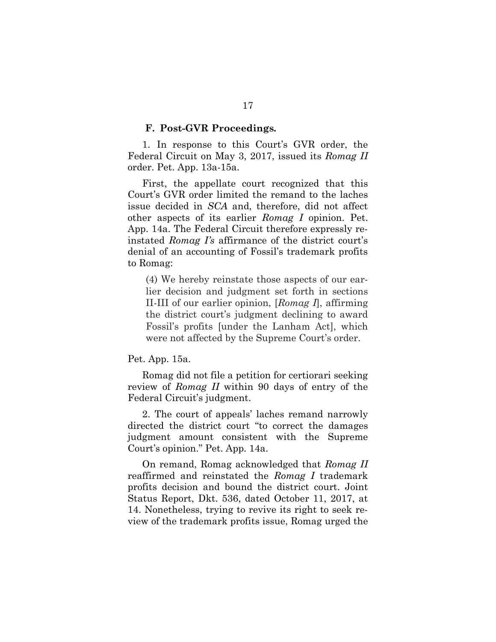#### **F. Post-GVR Proceedings***.*

1. In response to this Court's GVR order, the Federal Circuit on May 3, 2017, issued its *Romag II*  order. Pet. App. 13a-15a.

First, the appellate court recognized that this Court's GVR order limited the remand to the laches issue decided in *SCA* and, therefore, did not affect other aspects of its earlier *Romag I* opinion. Pet. App. 14a. The Federal Circuit therefore expressly reinstated *Romag I's* affirmance of the district court's denial of an accounting of Fossil's trademark profits to Romag:

(4) We hereby reinstate those aspects of our earlier decision and judgment set forth in sections II-III of our earlier opinion, [*Romag I*], affirming the district court's judgment declining to award Fossil's profits [under the Lanham Act], which were not affected by the Supreme Court's order.

#### Pet. App. 15a.

Romag did not file a petition for certiorari seeking review of *Romag II* within 90 days of entry of the Federal Circuit's judgment.

2. The court of appeals' laches remand narrowly directed the district court "to correct the damages judgment amount consistent with the Supreme Court's opinion." Pet. App. 14a.

On remand, Romag acknowledged that *Romag II*  reaffirmed and reinstated the *Romag I* trademark profits decision and bound the district court. Joint Status Report, Dkt. 536, dated October 11, 2017, at 14. Nonetheless, trying to revive its right to seek review of the trademark profits issue, Romag urged the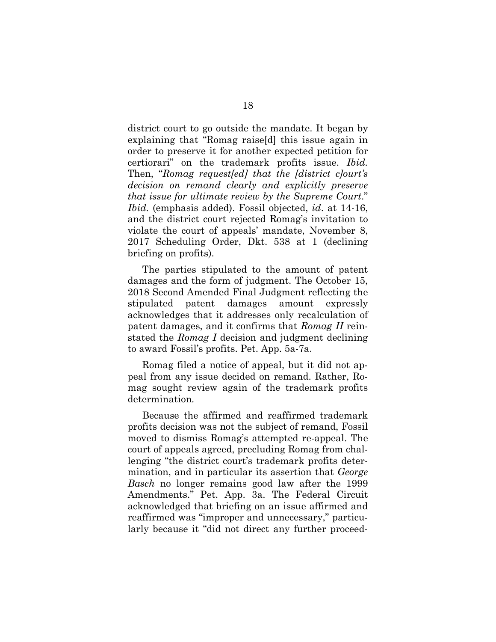district court to go outside the mandate. It began by explaining that "Romag raise[d] this issue again in order to preserve it for another expected petition for certiorari" on the trademark profits issue. *Ibid.*  Then, "*Romag request[ed] that the [district c]ourt's decision on remand clearly and explicitly preserve that issue for ultimate review by the Supreme Court*." *Ibid.* (emphasis added). Fossil objected, *id*. at 14-16, and the district court rejected Romag's invitation to violate the court of appeals' mandate, November 8, 2017 Scheduling Order, Dkt. 538 at 1 (declining briefing on profits).

The parties stipulated to the amount of patent damages and the form of judgment. The October 15, 2018 Second Amended Final Judgment reflecting the stipulated patent damages amount expressly acknowledges that it addresses only recalculation of patent damages, and it confirms that *Romag II* reinstated the *Romag I* decision and judgment declining to award Fossil's profits. Pet. App. 5a-7a.

Romag filed a notice of appeal, but it did not appeal from any issue decided on remand. Rather, Romag sought review again of the trademark profits determination*.* 

Because the affirmed and reaffirmed trademark profits decision was not the subject of remand, Fossil moved to dismiss Romag's attempted re-appeal. The court of appeals agreed, precluding Romag from challenging "the district court's trademark profits determination, and in particular its assertion that *George Basch* no longer remains good law after the 1999 Amendments." Pet. App. 3a. The Federal Circuit acknowledged that briefing on an issue affirmed and reaffirmed was "improper and unnecessary," particularly because it "did not direct any further proceed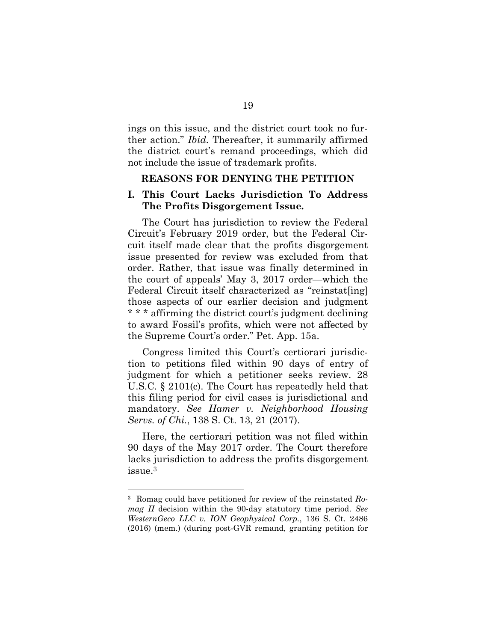ings on this issue, and the district court took no further action." *Ibid.* Thereafter, it summarily affirmed the district court's remand proceedings, which did not include the issue of trademark profits.

#### **REASONS FOR DENYING THE PETITION**

#### **I. This Court Lacks Jurisdiction To Address The Profits Disgorgement Issue***.*

The Court has jurisdiction to review the Federal Circuit's February 2019 order, but the Federal Circuit itself made clear that the profits disgorgement issue presented for review was excluded from that order. Rather, that issue was finally determined in the court of appeals' May 3, 2017 order—which the Federal Circuit itself characterized as "reinstat[ing] those aspects of our earlier decision and judgment \* \* \* affirming the district court's judgment declining to award Fossil's profits, which were not affected by the Supreme Court's order." Pet. App. 15a.

Congress limited this Court's certiorari jurisdiction to petitions filed within 90 days of entry of judgment for which a petitioner seeks review. 28 U.S.C. § 2101(c). The Court has repeatedly held that this filing period for civil cases is jurisdictional and mandatory. *See Hamer v. Neighborhood Housing Servs. of Chi.*, 138 S. Ct. 13, 21 (2017).

Here, the certiorari petition was not filed within 90 days of the May 2017 order. The Court therefore lacks jurisdiction to address the profits disgorgement issue.<sup>3</sup>

<sup>3</sup> Romag could have petitioned for review of the reinstated *Romag II* decision within the 90-day statutory time period. *See WesternGeco LLC v. ION Geophysical Corp.*, 136 S. Ct. 2486 (2016) (mem.) (during post-GVR remand, granting petition for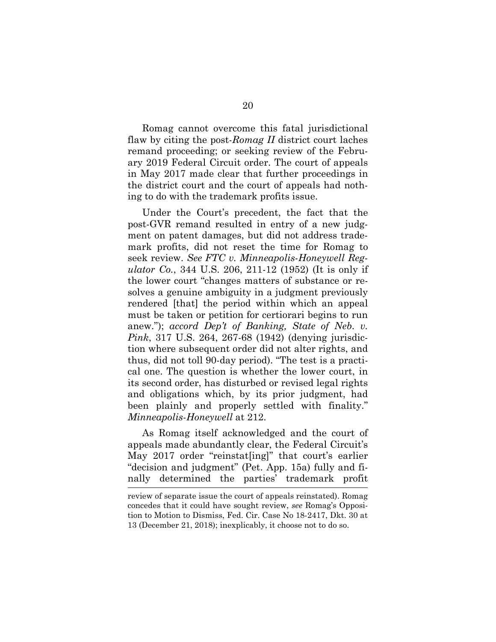Romag cannot overcome this fatal jurisdictional flaw by citing the post-*Romag II* district court laches remand proceeding; or seeking review of the February 2019 Federal Circuit order. The court of appeals in May 2017 made clear that further proceedings in the district court and the court of appeals had nothing to do with the trademark profits issue.

Under the Court's precedent, the fact that the post-GVR remand resulted in entry of a new judgment on patent damages, but did not address trademark profits, did not reset the time for Romag to seek review. *See FTC v. Minneapolis-Honeywell Regulator Co.*, 344 U.S. 206, 211-12 (1952) (It is only if the lower court "changes matters of substance or resolves a genuine ambiguity in a judgment previously rendered [that] the period within which an appeal must be taken or petition for certiorari begins to run anew."); *accord Dep't of Banking, State of Neb. v. Pink*, 317 U.S. 264, 267-68 (1942) (denying jurisdiction where subsequent order did not alter rights, and thus, did not toll 90-day period). "The test is a practical one. The question is whether the lower court, in its second order, has disturbed or revised legal rights and obligations which, by its prior judgment, had been plainly and properly settled with finality." *Minneapolis-Honeywell* at 212.

As Romag itself acknowledged and the court of appeals made abundantly clear, the Federal Circuit's May 2017 order "reinstat[ing]" that court's earlier "decision and judgment" (Pet. App. 15a) fully and finally determined the parties' trademark profit

review of separate issue the court of appeals reinstated). Romag concedes that it could have sought review, *see* Romag's Opposition to Motion to Dismiss, Fed. Cir. Case No 18-2417, Dkt. 30 at 13 (December 21, 2018); inexplicably, it choose not to do so.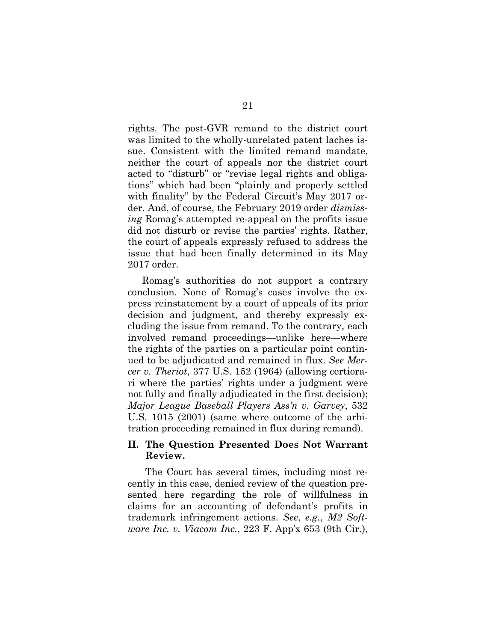rights. The post-GVR remand to the district court was limited to the wholly-unrelated patent laches issue. Consistent with the limited remand mandate, neither the court of appeals nor the district court acted to "disturb" or "revise legal rights and obligations" which had been "plainly and properly settled with finality" by the Federal Circuit's May 2017 order. And, of course, the February 2019 order *dismissing* Romag's attempted re-appeal on the profits issue did not disturb or revise the parties' rights. Rather, the court of appeals expressly refused to address the issue that had been finally determined in its May 2017 order.

Romag's authorities do not support a contrary conclusion. None of Romag's cases involve the express reinstatement by a court of appeals of its prior decision and judgment, and thereby expressly excluding the issue from remand. To the contrary, each involved remand proceedings—unlike here—where the rights of the parties on a particular point continued to be adjudicated and remained in flux. *See Mercer v. Theriot*, 377 U.S. 152 (1964) (allowing certiorari where the parties' rights under a judgment were not fully and finally adjudicated in the first decision); *Major League Baseball Players Ass'n v. Garvey*, 532 U.S. 1015 (2001) (same where outcome of the arbitration proceeding remained in flux during remand).

### **II. The Question Presented Does Not Warrant Review.**

The Court has several times, including most recently in this case, denied review of the question presented here regarding the role of willfulness in claims for an accounting of defendant's profits in trademark infringement actions. *See*, *e.g.*, *M2 Software Inc. v. Viacom Inc.*, 223 F. App'x 653 (9th Cir.),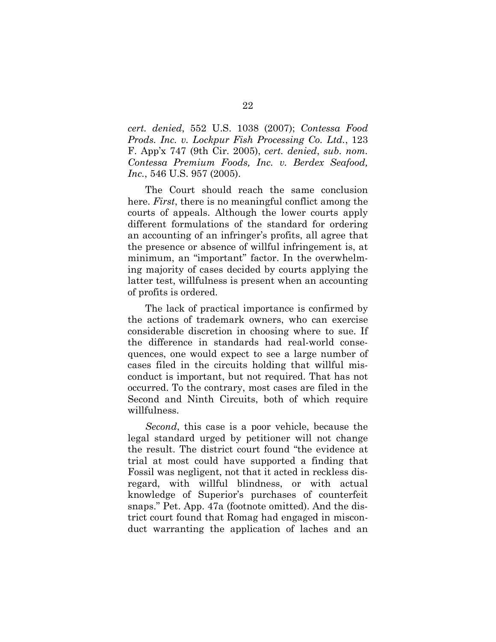*cert. denied*, 552 U.S. 1038 (2007); *Contessa Food Prods. Inc. v. Lockpur Fish Processing Co. Ltd.*, 123 F. App'x 747 (9th Cir. 2005), *cert. denied*, *sub. nom. Contessa Premium Foods, Inc. v. Berdex Seafood, Inc.*, 546 U.S. 957 (2005).

The Court should reach the same conclusion here. *First*, there is no meaningful conflict among the courts of appeals. Although the lower courts apply different formulations of the standard for ordering an accounting of an infringer's profits, all agree that the presence or absence of willful infringement is, at minimum, an "important" factor. In the overwhelming majority of cases decided by courts applying the latter test, willfulness is present when an accounting of profits is ordered.

The lack of practical importance is confirmed by the actions of trademark owners, who can exercise considerable discretion in choosing where to sue. If the difference in standards had real-world consequences, one would expect to see a large number of cases filed in the circuits holding that willful misconduct is important, but not required. That has not occurred. To the contrary, most cases are filed in the Second and Ninth Circuits, both of which require willfulness.

*Second*, this case is a poor vehicle, because the legal standard urged by petitioner will not change the result. The district court found "the evidence at trial at most could have supported a finding that Fossil was negligent, not that it acted in reckless disregard, with willful blindness, or with actual knowledge of Superior's purchases of counterfeit snaps." Pet. App. 47a (footnote omitted). And the district court found that Romag had engaged in misconduct warranting the application of laches and an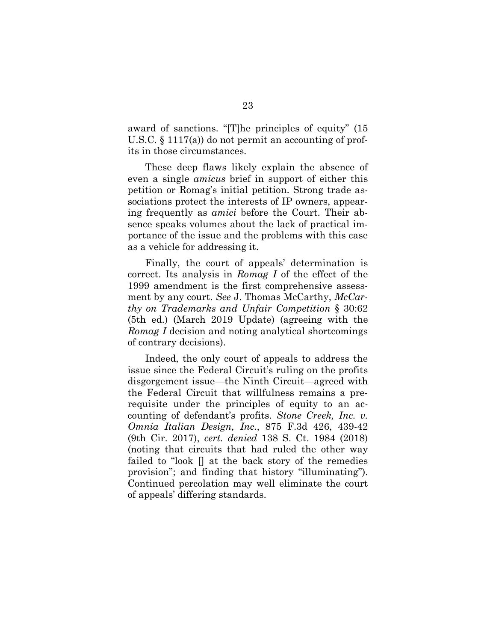award of sanctions. "[T]he principles of equity" (15 U.S.C. § 1117(a)) do not permit an accounting of profits in those circumstances.

These deep flaws likely explain the absence of even a single *amicus* brief in support of either this petition or Romag's initial petition. Strong trade associations protect the interests of IP owners, appearing frequently as *amici* before the Court. Their absence speaks volumes about the lack of practical importance of the issue and the problems with this case as a vehicle for addressing it.

Finally, the court of appeals' determination is correct. Its analysis in *Romag I* of the effect of the 1999 amendment is the first comprehensive assessment by any court. *See* J. Thomas McCarthy, *McCarthy on Trademarks and Unfair Competition* § 30:62 (5th ed.) (March 2019 Update) (agreeing with the *Romag I* decision and noting analytical shortcomings of contrary decisions).

Indeed, the only court of appeals to address the issue since the Federal Circuit's ruling on the profits disgorgement issue—the Ninth Circuit—agreed with the Federal Circuit that willfulness remains a prerequisite under the principles of equity to an accounting of defendant's profits. *Stone Creek, Inc. v. Omnia Italian Design, Inc.*, 875 F.3d 426, 439-42 (9th Cir. 2017), *cert. denied* 138 S. Ct. 1984 (2018) (noting that circuits that had ruled the other way failed to "look [] at the back story of the remedies provision"; and finding that history "illuminating"). Continued percolation may well eliminate the court of appeals' differing standards.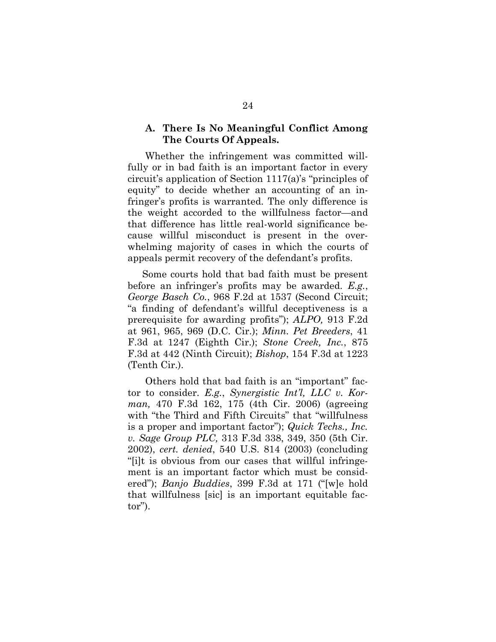#### **A. There Is No Meaningful Conflict Among The Courts Of Appeals.**

Whether the infringement was committed willfully or in bad faith is an important factor in every circuit's application of Section 1117(a)'s "principles of equity" to decide whether an accounting of an infringer's profits is warranted. The only difference is the weight accorded to the willfulness factor—and that difference has little real-world significance because willful misconduct is present in the overwhelming majority of cases in which the courts of appeals permit recovery of the defendant's profits.

Some courts hold that bad faith must be present before an infringer's profits may be awarded. *E.g.*, *George Basch Co.*, 968 F.2d at 1537 (Second Circuit; "a finding of defendant's willful deceptiveness is a prerequisite for awarding profits"); *ALPO,* 913 F.2d at 961, 965, 969 (D.C. Cir.); *Minn. Pet Breeders*, 41 F.3d at 1247 (Eighth Cir.); *Stone Creek, Inc.*, 875 F.3d at 442 (Ninth Circuit); *Bishop*, 154 F.3d at 1223 (Tenth Cir.).

Others hold that bad faith is an "important" factor to consider. *E.g.*, *Synergistic Int'l, LLC v. Korman,* 470 F.3d 162, 175 (4th Cir. 2006) (agreeing with "the Third and Fifth Circuits" that "willfulness" is a proper and important factor"); *Quick Techs., Inc. v. Sage Group PLC,* 313 F.3d 338, 349, 350 (5th Cir. 2002), *cert. denied*, 540 U.S. 814 (2003) (concluding "[i]t is obvious from our cases that willful infringement is an important factor which must be considered"); *Banjo Buddies*, 399 F.3d at 171 ("[w]e hold that willfulness [sic] is an important equitable factor").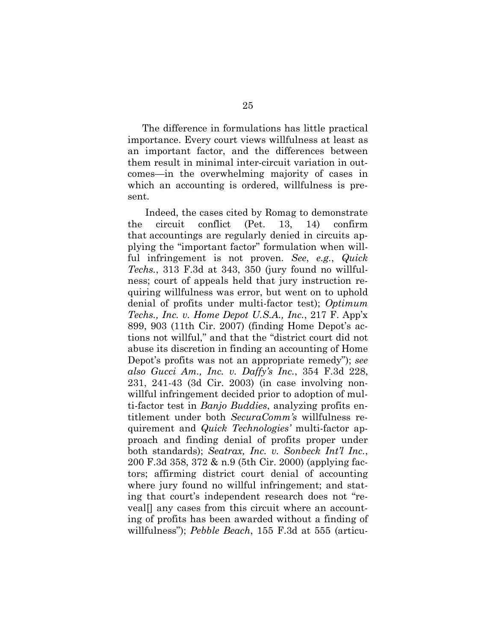The difference in formulations has little practical importance. Every court views willfulness at least as an important factor, and the differences between them result in minimal inter-circuit variation in outcomes—in the overwhelming majority of cases in which an accounting is ordered, willfulness is present.

Indeed, the cases cited by Romag to demonstrate the circuit conflict (Pet. 13, 14) confirm that accountings are regularly denied in circuits applying the "important factor" formulation when willful infringement is not proven. *See*, *e.g.*, *Quick Techs.*, 313 F.3d at 343, 350 (jury found no willfulness; court of appeals held that jury instruction requiring willfulness was error, but went on to uphold denial of profits under multi-factor test); *Optimum Techs., Inc. v. Home Depot U.S.A., Inc.*, 217 F. App'x 899, 903 (11th Cir. 2007) (finding Home Depot's actions not willful," and that the "district court did not abuse its discretion in finding an accounting of Home Depot's profits was not an appropriate remedy"); *see also Gucci Am., Inc. v. Daffy's Inc.*, 354 F.3d 228, 231, 241-43 (3d Cir. 2003) (in case involving nonwillful infringement decided prior to adoption of multi-factor test in *Banjo Buddies*, analyzing profits entitlement under both *SecuraComm's* willfulness requirement and *Quick Technologies'* multi-factor approach and finding denial of profits proper under both standards); *Seatrax, Inc. v. Sonbeck Int'l Inc.*, 200 F.3d 358, 372 & n.9 (5th Cir. 2000) (applying factors; affirming district court denial of accounting where jury found no willful infringement; and stating that court's independent research does not "reveal[] any cases from this circuit where an accounting of profits has been awarded without a finding of willfulness"); *Pebble Beach*, 155 F.3d at 555 (articu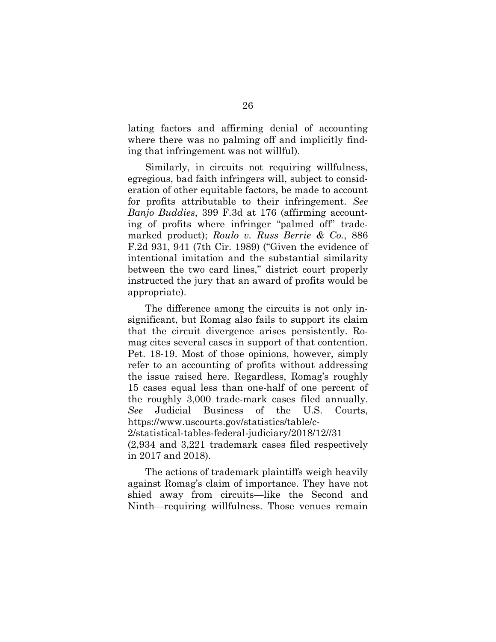lating factors and affirming denial of accounting where there was no palming off and implicitly finding that infringement was not willful).

Similarly, in circuits not requiring willfulness, egregious, bad faith infringers will, subject to consideration of other equitable factors, be made to account for profits attributable to their infringement. *See Banjo Buddies*, 399 F.3d at 176 (affirming accounting of profits where infringer "palmed off" trademarked product); *Roulo v. Russ Berrie & Co.*, 886 F.2d 931, 941 (7th Cir. 1989) ("Given the evidence of intentional imitation and the substantial similarity between the two card lines," district court properly instructed the jury that an award of profits would be appropriate).

The difference among the circuits is not only insignificant, but Romag also fails to support its claim that the circuit divergence arises persistently. Romag cites several cases in support of that contention. Pet. 18-19. Most of those opinions, however, simply refer to an accounting of profits without addressing the issue raised here. Regardless, Romag's roughly 15 cases equal less than one-half of one percent of the roughly 3,000 trade-mark cases filed annually. *See* Judicial Business of the U.S. Courts, https://www.uscourts.gov/statistics/table/c-2/statistical-tables-federal-judiciary/2018/12//31

(2,934 and 3,221 trademark cases filed respectively in 2017 and 2018).

The actions of trademark plaintiffs weigh heavily against Romag's claim of importance. They have not shied away from circuits—like the Second and Ninth—requiring willfulness. Those venues remain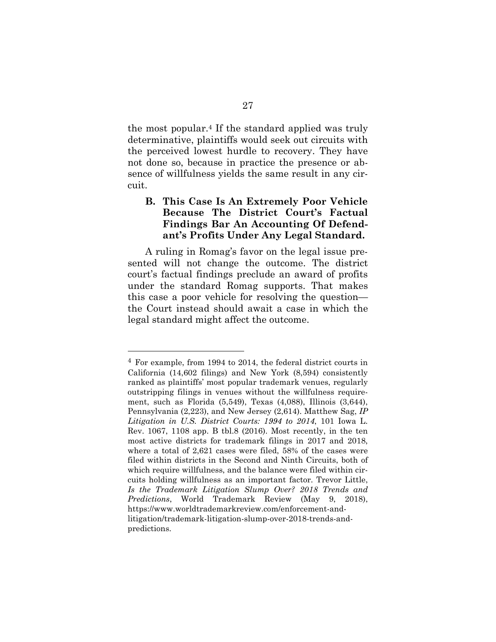the most popular.4 If the standard applied was truly determinative, plaintiffs would seek out circuits with the perceived lowest hurdle to recovery. They have not done so, because in practice the presence or absence of willfulness yields the same result in any circuit.

### **B. This Case Is An Extremely Poor Vehicle Because The District Court's Factual Findings Bar An Accounting Of Defendant's Profits Under Any Legal Standard.**

A ruling in Romag's favor on the legal issue presented will not change the outcome. The district court's factual findings preclude an award of profits under the standard Romag supports. That makes this case a poor vehicle for resolving the question the Court instead should await a case in which the legal standard might affect the outcome.

<sup>4</sup> For example, from 1994 to 2014, the federal district courts in California (14,602 filings) and New York (8,594) consistently ranked as plaintiffs' most popular trademark venues, regularly outstripping filings in venues without the willfulness requirement, such as Florida (5,549), Texas (4,088), Illinois (3,644), Pennsylvania (2,223), and New Jersey (2,614). Matthew Sag, *IP Litigation in U.S. District Courts: 1994 to 2014*, 101 Iowa L. Rev. 1067, 1108 app. B tbl.8 (2016). Most recently, in the ten most active districts for trademark filings in 2017 and 2018, where a total of 2,621 cases were filed, 58% of the cases were filed within districts in the Second and Ninth Circuits, both of which require willfulness, and the balance were filed within circuits holding willfulness as an important factor. Trevor Little, *Is the Trademark Litigation Slump Over? 2018 Trends and Predictions*, World Trademark Review (May 9, 2018), https://www.worldtrademarkreview.com/enforcement-andlitigation/trademark-litigation-slump-over-2018-trends-andpredictions.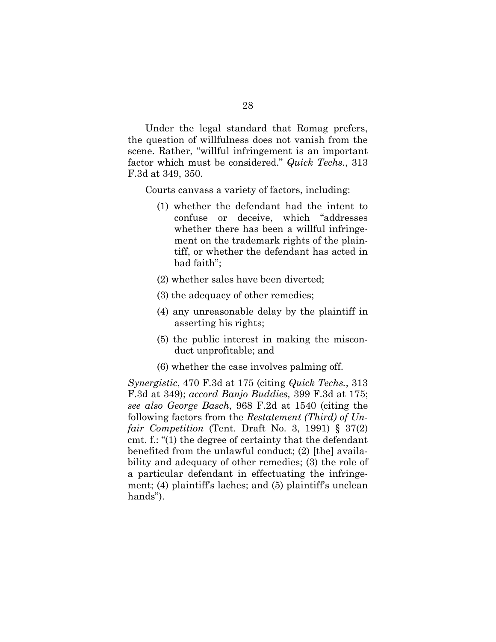Under the legal standard that Romag prefers, the question of willfulness does not vanish from the scene. Rather, "willful infringement is an important factor which must be considered." *Quick Techs.*, 313 F.3d at 349, 350.

Courts canvass a variety of factors, including:

- (1) whether the defendant had the intent to confuse or deceive, which "addresses whether there has been a willful infringement on the trademark rights of the plaintiff, or whether the defendant has acted in bad faith";
- (2) whether sales have been diverted;
- (3) the adequacy of other remedies;
- (4) any unreasonable delay by the plaintiff in asserting his rights;
- (5) the public interest in making the misconduct unprofitable; and
- (6) whether the case involves palming off.

*Synergistic*, 470 F.3d at 175 (citing *Quick Techs.*, 313 F.3d at 349); *accord Banjo Buddies,* 399 F.3d at 175; *see also George Basch*, 968 F.2d at 1540 (citing the following factors from the *Restatement (Third) of Unfair Competition* (Tent. Draft No. 3, 1991) § 37(2) cmt. f.: "(1) the degree of certainty that the defendant benefited from the unlawful conduct; (2) [the] availability and adequacy of other remedies; (3) the role of a particular defendant in effectuating the infringement; (4) plaintiff's laches; and (5) plaintiff's unclean hands").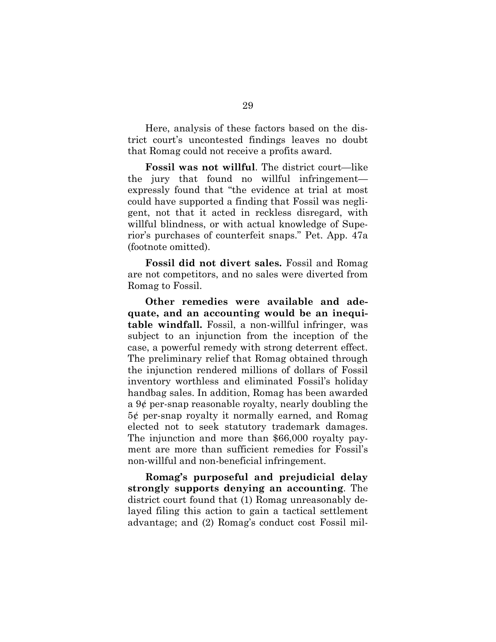Here, analysis of these factors based on the district court's uncontested findings leaves no doubt that Romag could not receive a profits award.

**Fossil was not willful**. The district court—like the jury that found no willful infringement expressly found that "the evidence at trial at most could have supported a finding that Fossil was negligent, not that it acted in reckless disregard, with willful blindness, or with actual knowledge of Superior's purchases of counterfeit snaps." Pet. App. 47a (footnote omitted).

**Fossil did not divert sales.** Fossil and Romag are not competitors, and no sales were diverted from Romag to Fossil.

**Other remedies were available and adequate, and an accounting would be an inequitable windfall.** Fossil, a non-willful infringer, was subject to an injunction from the inception of the case, a powerful remedy with strong deterrent effect. The preliminary relief that Romag obtained through the injunction rendered millions of dollars of Fossil inventory worthless and eliminated Fossil's holiday handbag sales. In addition, Romag has been awarded a 9¢ per-snap reasonable royalty, nearly doubling the 5¢ per-snap royalty it normally earned, and Romag elected not to seek statutory trademark damages. The injunction and more than \$66,000 royalty payment are more than sufficient remedies for Fossil's non-willful and non-beneficial infringement.

**Romag's purposeful and prejudicial delay strongly supports denying an accounting**. The district court found that (1) Romag unreasonably delayed filing this action to gain a tactical settlement advantage; and (2) Romag's conduct cost Fossil mil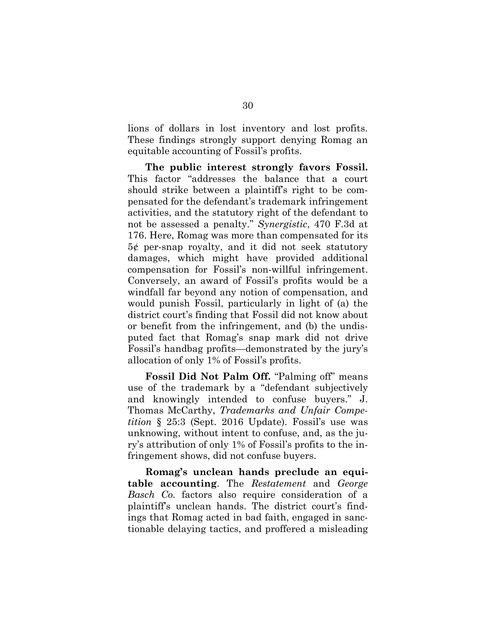lions of dollars in lost inventory and lost profits. These findings strongly support denying Romag an equitable accounting of Fossil's profits.

**The public interest strongly favors Fossil.**  This factor "addresses the balance that a court should strike between a plaintiff's right to be compensated for the defendant's trademark infringement activities, and the statutory right of the defendant to not be assessed a penalty." *Synergistic*, 470 F.3d at 176. Here, Romag was more than compensated for its 5¢ per-snap royalty, and it did not seek statutory damages, which might have provided additional compensation for Fossil's non-willful infringement. Conversely, an award of Fossil's profits would be a windfall far beyond any notion of compensation, and would punish Fossil, particularly in light of (a) the district court's finding that Fossil did not know about or benefit from the infringement, and (b) the undisputed fact that Romag's snap mark did not drive Fossil's handbag profits—demonstrated by the jury's allocation of only 1% of Fossil's profits.

**Fossil Did Not Palm Off.** "Palming off" means use of the trademark by a "defendant subjectively and knowingly intended to confuse buyers." J. Thomas McCarthy, *Trademarks and Unfair Competition* § 25:3 (Sept. 2016 Update). Fossil's use was unknowing, without intent to confuse, and, as the jury's attribution of only 1% of Fossil's profits to the infringement shows, did not confuse buyers.

**Romag's unclean hands preclude an equitable accounting**. The *Restatement* and *George Basch Co.* factors also require consideration of a plaintiff's unclean hands. The district court's findings that Romag acted in bad faith, engaged in sanctionable delaying tactics, and proffered a misleading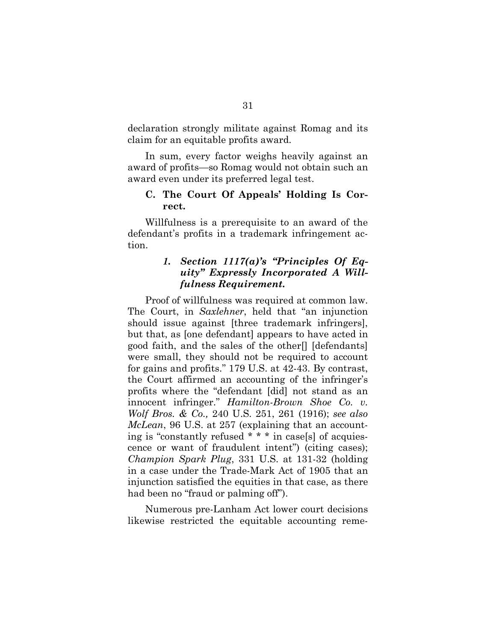declaration strongly militate against Romag and its claim for an equitable profits award.

In sum, every factor weighs heavily against an award of profits—so Romag would not obtain such an award even under its preferred legal test.

#### **C. The Court Of Appeals' Holding Is Correct.**

Willfulness is a prerequisite to an award of the defendant's profits in a trademark infringement action.

### *1. Section 1117(a)'s "Principles Of Equity" Expressly Incorporated A Willfulness Requirement.*

Proof of willfulness was required at common law. The Court, in *Saxlehner*, held that "an injunction should issue against [three trademark infringers], but that, as [one defendant] appears to have acted in good faith, and the sales of the other[] [defendants] were small, they should not be required to account for gains and profits." 179 U.S. at 42-43. By contrast, the Court affirmed an accounting of the infringer's profits where the "defendant [did] not stand as an innocent infringer." *Hamilton-Brown Shoe Co. v. Wolf Bros. & Co.,* 240 U.S. 251, 261 (1916); *see also McLean*, 96 U.S. at 257 (explaining that an accounting is "constantly refused \* \* \* in case[s] of acquiescence or want of fraudulent intent") (citing cases); *Champion Spark Plug*, 331 U.S. at 131-32 (holding in a case under the Trade-Mark Act of 1905 that an injunction satisfied the equities in that case, as there had been no "fraud or palming off").

Numerous pre-Lanham Act lower court decisions likewise restricted the equitable accounting reme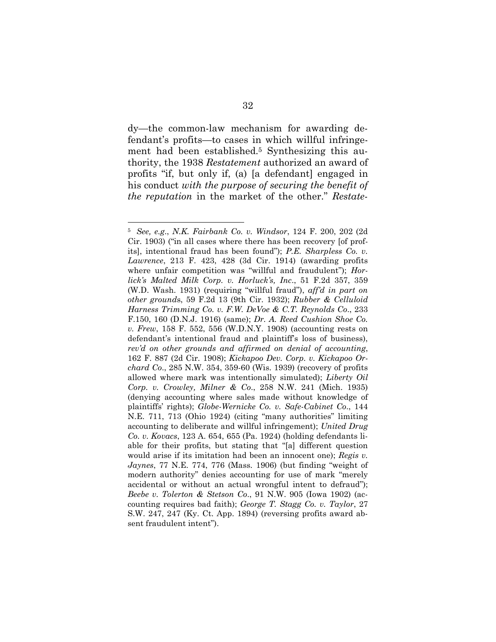dy—the common-law mechanism for awarding defendant's profits—to cases in which willful infringement had been established.<sup>5</sup> Synthesizing this authority, the 1938 *Restatement* authorized an award of profits "if, but only if, (a) [a defendant] engaged in his conduct *with the purpose of securing the benefit of the reputation* in the market of the other." *Restate-*

<sup>5</sup> *See, e.g*., *N.K. Fairbank Co. v. Windsor*, 124 F. 200, 202 (2d Cir. 1903) ("in all cases where there has been recovery [of profits], intentional fraud has been found"); *P.E. Sharpless Co. v. Lawrence*, 213 F. 423, 428 (3d Cir. 1914) (awarding profits where unfair competition was "willful and fraudulent"); *Horlick's Malted Milk Corp. v. Horluck's, Inc*., 51 F.2d 357, 359 (W.D. Wash. 1931) (requiring "willful fraud"), *aff'd in part on other ground*s, 59 F.2d 13 (9th Cir. 1932); *Rubber & Celluloid Harness Trimming Co. v. F.W. DeVoe & C.T. Reynolds Co*., 233 F.150, 160 (D.N.J. 1916) (same); *Dr. A. Reed Cushion Shoe Co. v. Frew*, 158 F. 552, 556 (W.D.N.Y. 1908) (accounting rests on defendant's intentional fraud and plaintiff's loss of business), *rev'd on other grounds and affirmed on denial of accounting*, 162 F. 887 (2d Cir. 1908); *Kickapoo Dev. Corp. v. Kickapoo Orchard Co*., 285 N.W. 354, 359-60 (Wis. 1939) (recovery of profits allowed where mark was intentionally simulated); *Liberty Oil Corp. v. Crowley, Milner & Co*., 258 N.W. 241 (Mich. 1935) (denying accounting where sales made without knowledge of plaintiffs' rights); *Globe-Wernicke Co. v. Safe-Cabinet Co*., 144 N.E. 711, 713 (Ohio 1924) (citing "many authorities" limiting accounting to deliberate and willful infringement); *United Drug Co. v. Kovacs*, 123 A. 654, 655 (Pa. 1924) (holding defendants liable for their profits, but stating that "[a] different question would arise if its imitation had been an innocent one); *Regis v. Jaynes*, 77 N.E. 774, 776 (Mass. 1906) (but finding "weight of modern authority" denies accounting for use of mark "merely accidental or without an actual wrongful intent to defraud"); *Beebe v. Tolerton & Stetson Co*., 91 N.W. 905 (Iowa 1902) (accounting requires bad faith); *George T. Stagg Co. v. Taylor*, 27 S.W. 247, 247 (Ky. Ct. App. 1894) (reversing profits award absent fraudulent intent").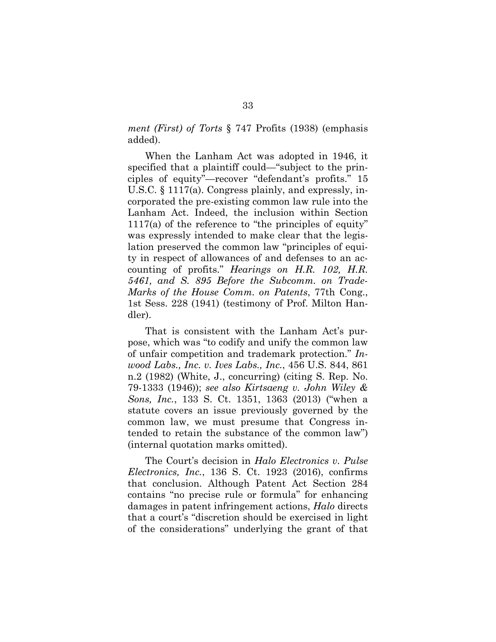*ment (First) of Torts* § 747 Profits (1938) (emphasis added).

When the Lanham Act was adopted in 1946, it specified that a plaintiff could—"subject to the principles of equity"—recover "defendant's profits." 15 U.S.C. § 1117(a). Congress plainly, and expressly, incorporated the pre-existing common law rule into the Lanham Act. Indeed, the inclusion within Section 1117(a) of the reference to "the principles of equity" was expressly intended to make clear that the legislation preserved the common law "principles of equity in respect of allowances of and defenses to an accounting of profits." *Hearings on H.R. 102, H.R. 5461, and S. 895 Before the Subcomm. on Trade-Marks of the House Comm. on Patents*, 77th Cong., 1st Sess. 228 (1941) (testimony of Prof. Milton Handler).

That is consistent with the Lanham Act's purpose, which was "to codify and unify the common law of unfair competition and trademark protection." *Inwood Labs., Inc. v. Ives Labs., Inc.*, 456 U.S. 844, 861 n.2 (1982) (White, J., concurring) (citing S. Rep. No. 79-1333 (1946)); *see also Kirtsaeng v. John Wiley & Sons, Inc.*, 133 S. Ct. 1351, 1363 (2013) ("when a statute covers an issue previously governed by the common law, we must presume that Congress intended to retain the substance of the common law") (internal quotation marks omitted).

The Court's decision in *Halo Electronics v. Pulse Electronics, Inc.*, 136 S. Ct. 1923 (2016), confirms that conclusion. Although Patent Act Section 284 contains "no precise rule or formula" for enhancing damages in patent infringement actions, *Halo* directs that a court's "discretion should be exercised in light of the considerations" underlying the grant of that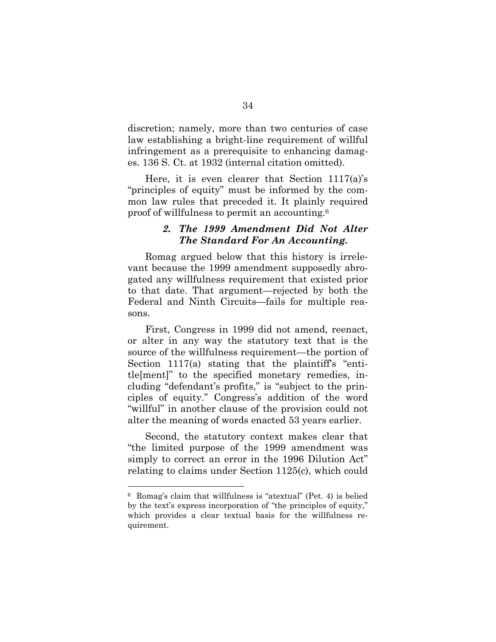discretion; namely, more than two centuries of case law establishing a bright-line requirement of willful infringement as a prerequisite to enhancing damages. 136 S. Ct. at 1932 (internal citation omitted).

Here, it is even clearer that Section 1117(a)'s "principles of equity" must be informed by the common law rules that preceded it. It plainly required proof of willfulness to permit an accounting.<sup>6</sup>

### *2. The 1999 Amendment Did Not Alter The Standard For An Accounting.*

Romag argued below that this history is irrelevant because the 1999 amendment supposedly abrogated any willfulness requirement that existed prior to that date. That argument—rejected by both the Federal and Ninth Circuits—fails for multiple reasons.

First, Congress in 1999 did not amend, reenact, or alter in any way the statutory text that is the source of the willfulness requirement—the portion of Section  $1117(a)$  stating that the plaintiff's "entitle[ment]" to the specified monetary remedies, including "defendant's profits," is "subject to the principles of equity." Congress's addition of the word "willful" in another clause of the provision could not alter the meaning of words enacted 53 years earlier.

Second, the statutory context makes clear that "the limited purpose of the 1999 amendment was simply to correct an error in the 1996 Dilution Act" relating to claims under Section 1125(c), which could

<sup>6</sup> Romag's claim that willfulness is "atextual" (Pet. 4) is belied by the text's express incorporation of "the principles of equity," which provides a clear textual basis for the willfulness requirement.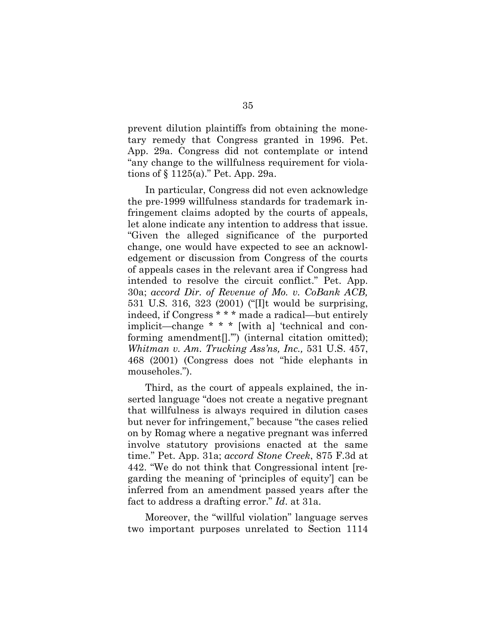prevent dilution plaintiffs from obtaining the monetary remedy that Congress granted in 1996. Pet. App. 29a. Congress did not contemplate or intend "any change to the willfulness requirement for violations of § 1125(a)." Pet. App. 29a.

In particular, Congress did not even acknowledge the pre-1999 willfulness standards for trademark infringement claims adopted by the courts of appeals, let alone indicate any intention to address that issue. "Given the alleged significance of the purported change, one would have expected to see an acknowledgement or discussion from Congress of the courts of appeals cases in the relevant area if Congress had intended to resolve the circuit conflict." Pet. App. 30a; *accord Dir. of Revenue of Mo. v. CoBank ACB,* 531 U.S. 316, 323 (2001) ("[I]t would be surprising, indeed, if Congress \* \* \* made a radical—but entirely implicit—change \* \* \* [with a] 'technical and conforming amendment[].'") (internal citation omitted); *Whitman v. Am. Trucking Ass'ns, Inc.,* 531 U.S. 457, 468 (2001) (Congress does not "hide elephants in mouseholes.").

Third, as the court of appeals explained, the inserted language "does not create a negative pregnant that willfulness is always required in dilution cases but never for infringement," because "the cases relied on by Romag where a negative pregnant was inferred involve statutory provisions enacted at the same time." Pet. App. 31a; *accord Stone Creek*, 875 F.3d at 442. "We do not think that Congressional intent [regarding the meaning of 'principles of equity'] can be inferred from an amendment passed years after the fact to address a drafting error." *Id*. at 31a.

Moreover, the "willful violation" language serves two important purposes unrelated to Section 1114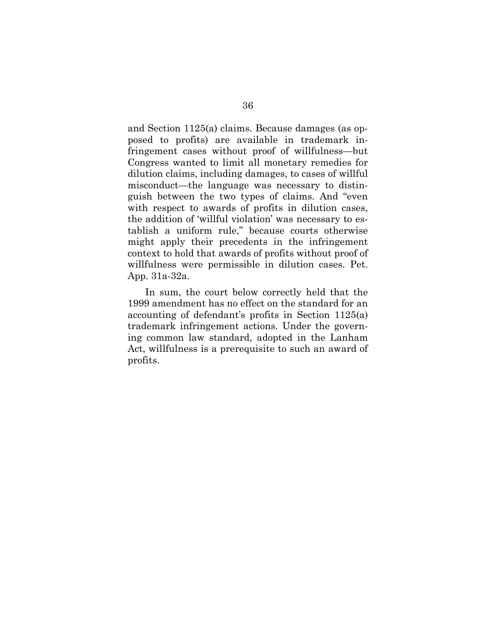and Section 1125(a) claims. Because damages (as opposed to profits) are available in trademark infringement cases without proof of willfulness—but Congress wanted to limit all monetary remedies for dilution claims, including damages, to cases of willful misconduct—the language was necessary to distinguish between the two types of claims. And "even with respect to awards of profits in dilution cases, the addition of 'willful violation' was necessary to establish a uniform rule," because courts otherwise might apply their precedents in the infringement context to hold that awards of profits without proof of willfulness were permissible in dilution cases. Pet. App. 31a-32a.

In sum, the court below correctly held that the 1999 amendment has no effect on the standard for an accounting of defendant's profits in Section 1125(a) trademark infringement actions. Under the governing common law standard, adopted in the Lanham Act, willfulness is a prerequisite to such an award of profits.